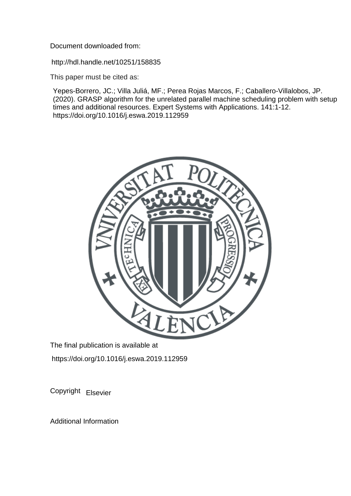Document downloaded from:

http://hdl.handle.net/10251/158835

This paper must be cited as:

Yepes-Borrero, JC.; Villa Juliá, MF.; Perea Rojas Marcos, F.; Caballero-Villalobos, JP. (2020). GRASP algorithm for the unrelated parallel machine scheduling problem with setup times and additional resources. Expert Systems with Applications. 141:1-12. https://doi.org/10.1016/j.eswa.2019.112959



The final publication is available at https://doi.org/10.1016/j.eswa.2019.112959

Copyright Elsevier

Additional Information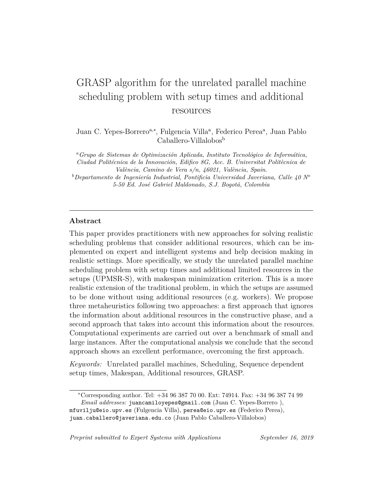# GRASP algorithm for the unrelated parallel machine scheduling problem with setup times and additional resources

Juan C. Yepes-Borrero<sup>a,\*</sup>, Fulgencia Villa<sup>a</sup>, Federico Perea<sup>a</sup>, Juan Pablo Caballero-Villalobos<sup>b</sup>

*<sup>a</sup>Grupo de Sistemas de Optimización Aplicada, Instituto Tecnológico de Informática, Ciudad Politécnica de la Innovación, Edifico 8G, Acc. B. Universitat Politècnica de València, Camino de Vera s/n, 46021, València, Spain. <sup>b</sup>Departamento de Ingeniería Industrial, Pontificia Universidad Javeriana, Calle 40 N<sup>o</sup>*

*5-50 Ed. José Gabriel Maldonado, S.J. Bogotá, Colombia*

# **Abstract**

This paper provides practitioners with new approaches for solving realistic scheduling problems that consider additional resources, which can be implemented on expert and intelligent systems and help decision making in realistic settings. More specifically, we study the unrelated parallel machine scheduling problem with setup times and additional limited resources in the setups (UPMSR-S), with makespan minimization criterion. This is a more realistic extension of the traditional problem, in which the setups are assumed to be done without using additional resources (e.g. workers). We propose three metaheuristics following two approaches: a first approach that ignores the information about additional resources in the constructive phase, and a second approach that takes into account this information about the resources. Computational experiments are carried out over a benchmark of small and large instances. After the computational analysis we conclude that the second approach shows an excellent performance, overcoming the first approach.

*Keywords:* Unrelated parallel machines, Scheduling, Sequence dependent setup times, Makespan, Additional resources, GRASP.

*Preprint submitted to Expert Systems with Applications September 16, 2019*

<sup>∗</sup>Corresponding author. Tel: +34 96 387 70 00. Ext: 74914. Fax: +34 96 387 74 99

*Email addresses:* juancamiloyepes@gmail.com (Juan C. Yepes-Borrero ),

mfuvilju@eio.upv.es (Fulgencia Villa), perea@eio.upv.es (Federico Perea), juan.caballero@javeriana.edu.co (Juan Pablo Caballero-Villalobos)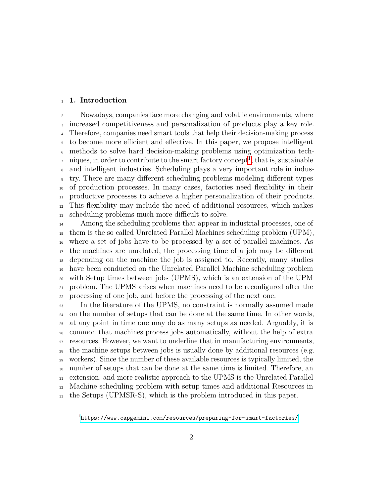# **1. Introduction**

 Nowadays, companies face more changing and volatile environments, where increased competitiveness and personalization of products play a key role. Therefore, companies need smart tools that help their decision-making process to become more efficient and effective. In this paper, we propose intelligent methods to solve hard decision-making problems using optimization tech- $\tau$  niques, in order to contribute to the smart factory concept<sup>[1](#page-2-0)</sup>, that is, sustainable and intelligent industries. Scheduling plays a very important role in indus- try. There are many different scheduling problems modeling different types of production processes. In many cases, factories need flexibility in their productive processes to achieve a higher personalization of their products. This flexibility may include the need of additional resources, which makes scheduling problems much more difficult to solve.

<sup>14</sup> Among the scheduling problems that appear in industrial processes, one of them is the so called Unrelated Parallel Machines scheduling problem (UPM), where a set of jobs have to be processed by a set of parallel machines. As the machines are unrelated, the processing time of a job may be different depending on the machine the job is assigned to. Recently, many studies have been conducted on the Unrelated Parallel Machine scheduling problem with Setup times between jobs (UPMS), which is an extension of the UPM problem. The UPMS arises when machines need to be reconfigured after the processing of one job, and before the processing of the next one.

 In the literature of the UPMS, no constraint is normally assumed made on the number of setups that can be done at the same time. In other words, at any point in time one may do as many setups as needed. Arguably, it is common that machines process jobs automatically, without the help of extra resources. However, we want to underline that in manufacturing environments, the machine setups between jobs is usually done by additional resources (e.g. workers). Since the number of these available resources is typically limited, the number of setups that can be done at the same time is limited. Therefore, an extension, and more realistic approach to the UPMS is the Unrelated Parallel Machine scheduling problem with setup times and additional Resources in the Setups (UPMSR-S), which is the problem introduced in this paper.

<span id="page-2-0"></span><https://www.capgemini.com/resources/preparing-for-smart-factories/>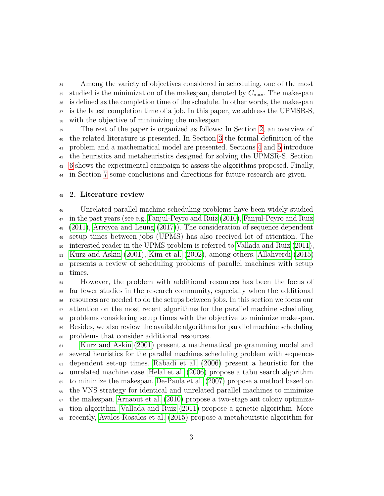<sup>34</sup> Among the variety of objectives considered in scheduling, one of the most studied is the minimization of the makespan, denoted by  $C_{\text{max}}$ . The makespan is defined as the completion time of the schedule. In other words, the makespan is the latest completion time of a job. In this paper, we address the UPMSR-S, with the objective of minimizing the makespan.

 The rest of the paper is organized as follows: In Section [2,](#page-3-0) an overview of the related literature is presented. In Section [3](#page-5-0) the formal definition of the problem and a mathematical model are presented. Sections [4](#page-8-0) and [5](#page-14-0) introduce the heuristics and metaheuristics designed for solving the UPMSR-S. Section [6](#page-21-0) shows the experimental campaign to assess the algorithms proposed. Finally, in Section [7](#page-29-0) some conclusions and directions for future research are given.

#### <span id="page-3-0"></span>**2. Literature review**

 Unrelated parallel machine scheduling problems have been widely studied in the past years (see e.g. [Fanjul-Peyro and Ruiz](#page-33-0) [\(2010\)](#page-33-0), [Fanjul-Peyro and Ruiz](#page-33-1) [\(2011\)](#page-33-1), [Arroyoa and Leung](#page-32-0) [\(2017\)](#page-32-0)). The consideration of sequence dependent setup times between jobs (UPMS) has also received lot of attention. The interested reader in the UPMS problem is referred to [Vallada and Ruiz](#page-35-0) [\(2011\)](#page-35-0), [Kurz and Askin](#page-34-0) [\(2001\)](#page-34-0), [Kim et al.](#page-34-1) [\(2002\)](#page-34-1), among others. [Allahverdi](#page-31-0) [\(2015\)](#page-31-0) presents a review of scheduling problems of parallel machines with setup times.

 However, the problem with additional resources has been the focus of far fewer studies in the research community, especially when the additional resources are needed to do the setups between jobs. In this section we focus our attention on the most recent algorithms for the parallel machine scheduling problems considering setup times with the objective to minimize makespan. Besides, we also review the available algorithms for parallel machine scheduling problems that consider additional resources.

 [Kurz and Askin](#page-34-0) [\(2001\)](#page-34-0) present a mathematical programming model and several heuristics for the parallel machines scheduling problem with sequence- dependent set-up times. [Rabadi et al.](#page-34-2) [\(2006\)](#page-34-2) present a heuristic for the unrelated machine case. [Helal et al.](#page-34-3) [\(2006\)](#page-34-3) propose a tabu search algorithm to minimize the makespan. [De-Paula et al.](#page-32-1) [\(2007\)](#page-32-1) propose a method based on the VNS strategy for identical and unrelated parallel machines to minimize  $\sigma$  the makespan. [Arnaout et al.](#page-32-2) [\(2010\)](#page-32-2) propose a two-stage ant colony optimiza- tion algorithm. [Vallada and Ruiz](#page-35-0) [\(2011\)](#page-35-0) propose a genetic algorithm. More recently, [Avalos-Rosales et al.](#page-32-3) [\(2015\)](#page-32-3) propose a metaheuristic algorithm for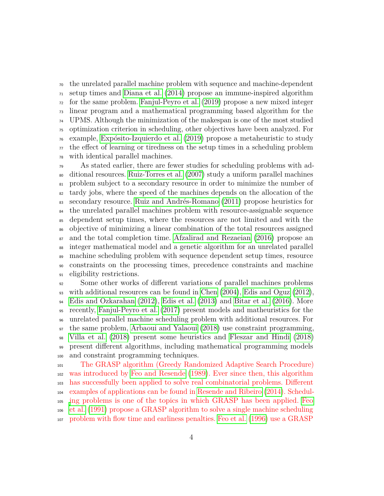the unrelated parallel machine problem with sequence and machine-dependent  $\pi$  setup times and [Diana et al.](#page-32-4) [\(2014\)](#page-32-4) propose an immune-inspired algorithm for the same problem. [Fanjul-Peyro et al.](#page-33-2) [\(2019\)](#page-33-2) propose a new mixed integer linear program and a mathematical programming based algorithm for the UPMS. Although the minimization of the makespan is one of the most studied optimization criterion in scheduling, other objectives have been analyzed. For example, [Expósito-Izquierdo et al.](#page-33-3) [\(2019\)](#page-33-3) propose a metaheuristic to study  $\pi$  the effect of learning or tiredness on the setup times in a scheduling problem with identical parallel machines.

 As stated earlier, there are fewer studies for scheduling problems with ad- ditional resources. [Ruiz-Torres et al.](#page-34-4) [\(2007\)](#page-34-4) study a uniform parallel machines problem subject to a secondary resource in order to minimize the number of tardy jobs, where the speed of the machines depends on the allocation of the secondary resource. [Ruiz and Andrés-Romano](#page-34-5) [\(2011\)](#page-34-5) propose heuristics for <sup>84</sup> the unrelated parallel machines problem with resource-assignable sequence dependent setup times, where the resources are not limited and with the objective of minimizing a linear combination of the total resources assigned and the total completion time. [Afzalirad and Rezaeian](#page-31-1) [\(2016\)](#page-31-1) propose an integer mathematical model and a genetic algorithm for an unrelated parallel machine scheduling problem with sequence dependent setup times, resource constraints on the processing times, precedence constraints and machine eligibility restrictions.

 Some other works of different variations of parallel machines problems with additional resources can be found in [Chen](#page-32-5) [\(2004\)](#page-32-5), [Edis and Oguz](#page-32-6) [\(2012\)](#page-32-6), [Edis and Ozkarahan](#page-33-4) [\(2012\)](#page-33-4), [Edis et al.](#page-33-5) [\(2013\)](#page-33-5) and [Bitar et al.](#page-32-7) [\(2016\)](#page-32-7). More recently, [Fanjul-Peyro et al.](#page-33-6) [\(2017\)](#page-33-6) present models and matheuristics for the unrelated parallel machine scheduling problem with additional resources. For the same problem, [Arbaoui and Yalaoui](#page-32-8) [\(2018\)](#page-32-8) use constraint programming, [Villa et al.](#page-35-1) [\(2018\)](#page-35-1) present some heuristics and [Fleszar and Hindi](#page-33-7) [\(2018\)](#page-33-7) present different algorithms, including mathematical programming models and constraint programming techniques.

 The GRASP algorithm (Greedy Randomized Adaptive Search Procedure) was introduced by [Feo and Resende](#page-33-8) [\(1989\)](#page-33-8). Ever since then, this algorithm has successfully been applied to solve real combinatorial problems. Different examples of applications can be found in [Resende and Ribeiro](#page-34-6) [\(2014\)](#page-34-6). Schedul- [i](#page-33-9)ng problems is one of the topics in which GRASP has been applied. [Feo](#page-33-9) [et al.](#page-33-9) [\(1991\)](#page-33-9) propose a GRASP algorithm to solve a single machine scheduling problem with flow time and earliness penalties. [Feo et al.](#page-33-10) [\(1996\)](#page-33-10) use a GRASP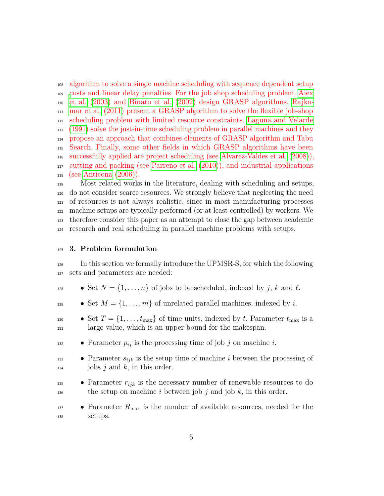algorithm to solve a single machine scheduling with sequence dependent setup [c](#page-31-2)osts and linear delay penalties. For the job shop scheduling problem, [Aiex](#page-31-2) [et al.](#page-31-2) [\(2003\)](#page-31-2) and [Binato et al.](#page-32-9) [\(2002\)](#page-32-9) design GRASP algorithms. [Rajku-](#page-34-7) [mar et al.](#page-34-7) [\(2011\)](#page-34-7) present a GRASP algorithm to solve the flexible job-shop scheduling problem with limited resource constraints. [Laguna and Velarde](#page-34-8) [\(1991\)](#page-34-8) solve the just-in-time scheduling problem in parallel machines and they propose an approach that combines elements of GRASP algorithm and Tabu Search. Finally, some other fields in which GRASP algorithms have been successfully applied are project scheduling (see [Alvarez-Valdes et al.](#page-31-3) [\(2008\)](#page-31-3)), cutting and packing (see [Parreño et al.](#page-34-9) [\(2010\)](#page-34-9)), and industrial applications (see [Anticona](#page-31-4) [\(2006\)](#page-31-4)).

 Most related works in the literature, dealing with scheduling and setups, do not consider scarce resources. We strongly believe that neglecting the need of resources is not always realistic, since in most manufacturing processes machine setups are typically performed (or at least controlled) by workers. We therefore consider this paper as an attempt to close the gap between academic research and real scheduling in parallel machine problems with setups.

# <span id="page-5-0"></span>**3. Problem formulation**

 In this section we formally introduce the UPMSR-S, for which the following sets and parameters are needed:

- **•** Set  $N = \{1, \ldots, n\}$  of jobs to be scheduled, indexed by *j*, *k* and  $\ell$ .
- <sup>129</sup> Set  $M = \{1, \ldots, m\}$  of unrelated parallel machines, indexed by *i*.
- 130 Set  $T = \{1, \ldots, t_{\text{max}}\}$  of time units, indexed by *t*. Parameter  $t_{\text{max}}$  is a 131 large value, which is an upper bound for the makespan.
- Parameter  $p_{ij}$  is the processing time of job *j* on machine *i*.
- **•** Parameter  $s_{ijk}$  is the setup time of machine *i* between the processing of  $_{134}$  jobs *j* and *k*, in this order.
- $\bullet$  Parameter  $r_{ijk}$  is the necessary number of renewable resources to do 136 the setup on machine *i* between job *j* and job  $k$ , in this order.
- Parameter  $R_{\text{max}}$  is the number of available resources, needed for the setups.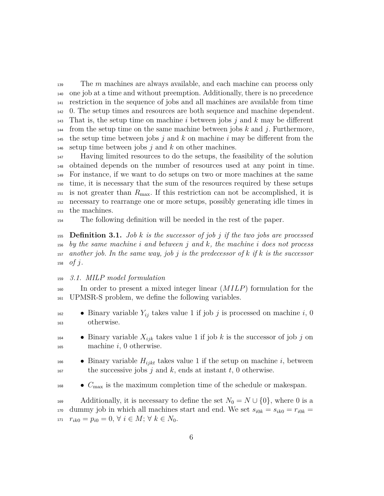The *m* machines are always available, and each machine can process only one job at a time and without preemption. Additionally, there is no precedence restriction in the sequence of jobs and all machines are available from time 0. The setup times and resources are both sequence and machine dependent. That is, the setup time on machine *i* between jobs *j* and *k* may be different from the setup time on the same machine between jobs *k* and *j*. Furthermore, the setup time between jobs *j* and *k* on machine *i* may be different from the setup time between jobs *j* and *k* on other machines.

 Having limited resources to do the setups, the feasibility of the solution obtained depends on the number of resources used at any point in time. For instance, if we want to do setups on two or more machines at the same time, it is necessary that the sum of the resources required by these setups is not greater than *R*max. If this restriction can not be accomplished, it is necessary to rearrange one or more setups, possibly generating idle times in the machines.

The following definition will be needed in the rest of the paper.

 **Definition 3.1.** *Job k is the successor of job j if the two jobs are processed by the same machine i and between j and k, the machine i does not process another job. In the same way, job j is the predecessor of k if k is the successor*  $of j$ .

*3.1. MILP model formulation*

 In order to present a mixed integer linear (*MILP*) formulation for the UPMSR-S problem, we define the following variables.

- $\bullet$  Binary variable  $Y_{ij}$  takes value 1 if job *j* is processed on machine *i*, 0 otherwise.
- $\bullet$  Binary variable  $X_{ijk}$  takes value 1 if job k is the successor of job j on machine *i*, 0 otherwise.
- $\bullet$  Binary variable  $H_{i j k t}$  takes value 1 if the setup on machine *i*, between  $\frac{1}{167}$  the successive jobs *j* and *k*, ends at instant *t*, 0 otherwise.
- $\bullet$   $C_{\text{max}}$  is the maximum completion time of the schedule or makespan.

Additionally, it is necessary to define the set  $N_0 = N \cup \{0\}$ , where 0 is a 170 dummy job in which all machines start and end. We set  $s_{i0k} = s_{ik0} = r_{i0k} =$ 171  $r_{ik0} = p_{i0} = 0, \forall i \in M; \forall k \in N_0.$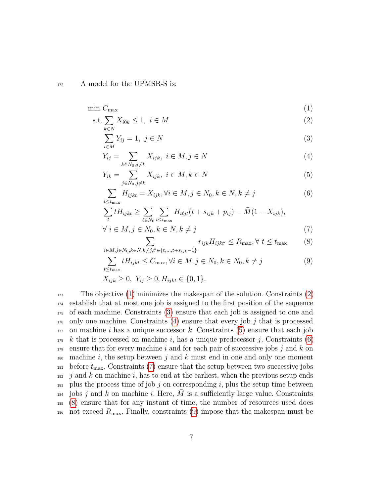# <sup>172</sup> A model for the UPMSR-S is:

$$
\min C_{\max} \tag{1}
$$

$$
\text{s.t.} \sum_{k \in N} X_{i0k} \le 1, \ i \in M \tag{2}
$$

<span id="page-7-1"></span><span id="page-7-0"></span>
$$
\sum_{i \in M} Y_{ij} = 1, \ j \in N \tag{3}
$$

<span id="page-7-3"></span><span id="page-7-2"></span>
$$
Y_{ij} = \sum_{k \in N_0, j \neq k} X_{ijk}, \ i \in M, j \in N \tag{4}
$$

<span id="page-7-4"></span>
$$
Y_{ik} = \sum_{j \in N_0, j \neq k} X_{ijk}, \ i \in M, k \in N
$$
\n
$$
(5)
$$

<span id="page-7-5"></span>
$$
\sum_{t \le t_{\text{max}}} H_{ijkt} = X_{ijk}, \forall i \in M, j \in N_0, k \in N, k \ne j
$$
\n
$$
(6)
$$

$$
\sum_{t} t H_{ijkt} \ge \sum_{\ell \in N_0} \sum_{t \le t_{\text{max}}} H_{i\ell j t} (t + s_{ijk} + p_{ij}) - \bar{M} (1 - X_{ijk}),
$$
  

$$
\forall i \in M \quad i \in N_0 \quad k \in N \quad k \ne i
$$
 (7)

$$
\forall i \in M, j \in N_0, k \in N, k \neq j \tag{7}
$$
\n
$$
\sum_{k \in M, j \in M} r_{ijk} H_{ijkl} \le R_{\text{max}} \quad \forall t \le t_{\text{max}} \tag{8}
$$

<span id="page-7-7"></span><span id="page-7-6"></span>
$$
\sum_{i \in M, j \in N_0, k \in N, k \neq j, t' \in \{t, \dots, t + s_{ijk} - 1\}} r_{ijk} H_{ijkt'} \le R_{\text{max}}, \forall t \le t_{\text{max}} \tag{8}
$$

<span id="page-7-8"></span>
$$
\sum_{t \le t_{\max}} t H_{ijkt} \le C_{\max}, \forall i \in M, j \in N_0, k \in N_0, k \ne j
$$
\n
$$
(9)
$$

$$
X_{ijk} \ge 0, \ Y_{ij} \ge 0, H_{ijkt} \in \{0, 1\}.
$$

 The objective [\(1\)](#page-7-0) minimizes the makespan of the solution. Constraints [\(2\)](#page-7-1) establish that at most one job is assigned to the first position of the sequence of each machine. Constraints [\(3\)](#page-7-2) ensure that each job is assigned to one and only one machine. Constraints [\(4\)](#page-7-3) ensure that every job *j* that is processed on machine *i* has a unique successor *k*. Constraints [\(5\)](#page-7-4) ensure that each job  $\mu$ <sup>178</sup> *k* that is processed on machine *i*, has a unique predecessor *j*. Constraints [\(6\)](#page-7-5) ensure that for every machine *i* and for each pair of successive jobs *j* and *k* on machine *i*, the setup between *j* and *k* must end in one and only one moment <sup>181</sup> before  $t_{\text{max}}$ . Constraints [\(7\)](#page-7-6) ensure that the setup between two successive jobs  $\mu_{182}$  *j* and *k* on machine *i*, has to end at the earliest, when the previous setup ends plus the process time of job *j* on corresponding *i*, plus the setup time between  $_{184}$  jobs *j* and *k* on machine *i*. Here, *M* is a sufficiently large value. Constraints [\(8\)](#page-7-7) ensure that for any instant of time, the number of resources used does <sup>186</sup> not exceed  $R_{\text{max}}$ . Finally, constraints [\(9\)](#page-7-8) impose that the makespan must be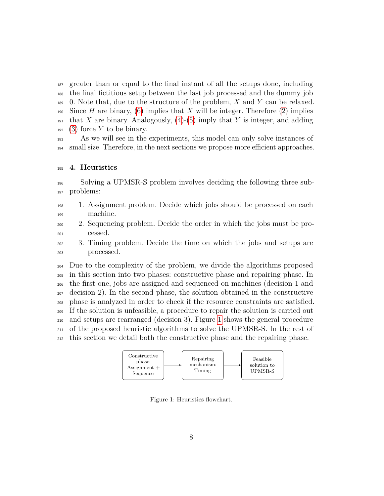greater than or equal to the final instant of all the setups done, including the final fictitious setup between the last job processed and the dummy job 0. Note that, due to the structure of the problem, *X* and *Y* can be relaxed.  $\mu_{190}$  Since *H* are binary, [\(6\)](#page-7-5) implies that *X* will be integer. Therefore [\(2\)](#page-7-1) implies that *X* are binary. Analogously, [\(4\)](#page-7-3)-[\(5\)](#page-7-4) imply that *Y* is integer, and adding [\(3\)](#page-7-2) force *Y* to be binary.

 As we will see in the experiments, this model can only solve instances of small size. Therefore, in the next sections we propose more efficient approaches.

### <span id="page-8-0"></span>**4. Heuristics**

 Solving a UPMSR-S problem involves deciding the following three sub-problems:

- 1. Assignment problem. Decide which jobs should be processed on each machine.
- 2. Sequencing problem. Decide the order in which the jobs must be pro-cessed.

 3. Timing problem. Decide the time on which the jobs and setups are processed.

 Due to the complexity of the problem, we divide the algorithms proposed in this section into two phases: constructive phase and repairing phase. In the first one, jobs are assigned and sequenced on machines (decision 1 and decision 2). In the second phase, the solution obtained in the constructive phase is analyzed in order to check if the resource constraints are satisfied. If the solution is unfeasible, a procedure to repair the solution is carried out and setups are rearranged (decision 3). Figure [1](#page-8-1) shows the general procedure of the proposed heuristic algorithms to solve the UPMSR-S. In the rest of this section we detail both the constructive phase and the repairing phase.



<span id="page-8-1"></span>Figure 1: Heuristics flowchart.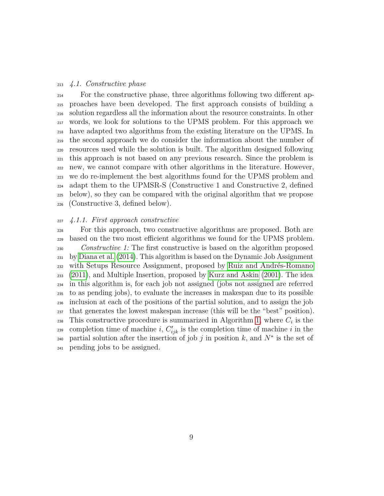#### <span id="page-9-0"></span>*4.1. Constructive phase*

 For the constructive phase, three algorithms following two different ap- proaches have been developed. The first approach consists of building a solution regardless all the information about the resource constraints. In other words, we look for solutions to the UPMS problem. For this approach we have adapted two algorithms from the existing literature on the UPMS. In the second approach we do consider the information about the number of resources used while the solution is built. The algorithm designed following this approach is not based on any previous research. Since the problem is new, we cannot compare with other algorithms in the literature. However, we do re-implement the best algorithms found for the UPMS problem and adapt them to the UPMSR-S (Constructive 1 and Constructive 2, defined below), so they can be compared with the original algorithm that we propose (Constructive 3, defined below).

#### *4.1.1. First approach constructive*

 For this approach, two constructive algorithms are proposed. Both are based on the two most efficient algorithms we found for the UPMS problem. *Constructive 1:* The first constructive is based on the algorithm proposed by [Diana et al.](#page-32-4) [\(2014\)](#page-32-4). This algorithm is based on the Dynamic Job Assignment with Setups Resource Assignment, proposed by [Ruiz and Andrés-Romano](#page-34-5) [\(2011\)](#page-34-5), and Multiple Insertion, proposed by [Kurz and Askin](#page-34-0) [\(2001\)](#page-34-0). The idea in this algorithm is, for each job not assigned (jobs not assigned are referred to as pending jobs), to evaluate the increases in makespan due to its possible inclusion at each of the positions of the partial solution, and to assign the job that generates the lowest makespan increase (this will be the "best" position). This constructive procedure is summarized in Algorithm [1,](#page-10-0) where  $C_i$  is the completion time of machine *i*,  $C'_{ijk}$  is the completion time of machine *i* in the partial solution after the insertion of job *j* in position  $k$ , and  $N^*$  is the set of pending jobs to be assigned.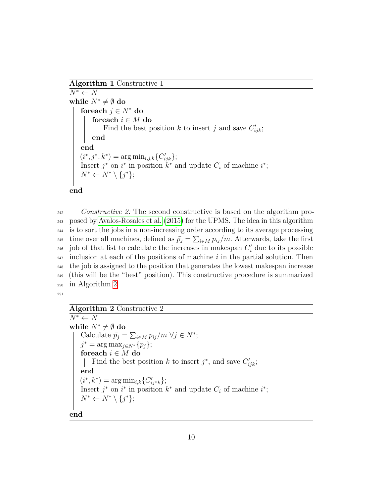<span id="page-10-0"></span>**Algorithm 1** Constructive 1

```
N∗ ← N
while N^* \neq \emptyset do
    foreach j \in N^* do
         foreach i \in M do
              Find the best position k to insert j and save C'_{ijk};
        end
    end
    (i^*, j^*, k^*) = \arg \min_{i,j,k} \{C'_{ijk}\};Insert j^* on i^* in position k^* and update C_i of machine i^*;
    N<sup>∗</sup> ← N<sup>∗</sup> \setminus \{j^*\};
```
**end**

 *Constructive 2:* The second constructive is based on the algorithm pro- posed by [Avalos-Rosales et al.](#page-32-3) [\(2015\)](#page-32-3) for the UPMS. The idea in this algorithm is to sort the jobs in a non-increasing order according to its average processing <sup>245</sup> time over all machines, defined as  $\bar{p}_j = \sum_{i \in M} p_{ij}/m$ . Afterwards, take the first <sup>246</sup> job of that list to calculate the increases in makespan  $C_i'$  due to its possible inclusion at each of the positions of machine *i* in the partial solution. Then the job is assigned to the position that generates the lowest makespan increase (this will be the "best" position). This constructive procedure is summarized in Algorithm [2.](#page-10-1)

251

# <span id="page-10-1"></span>**Algorithm 2** Constructive 2

*N*<sup>∗</sup> ← *N* **while**  $N^* \neq \emptyset$  **do** Calculate  $\bar{p}_j = \sum_{i \in M} p_{ij}/m \ \forall j \in N^*$ ;  $j^* = \arg \max_{j \in N^*} {\{\bar{p}_j\}};$ for<br>each  $i \in M$  do Find the best position *k* to insert  $j^*$ , and save  $C'_{ijk}$ ; **end**  $(i^*, k^*) = \arg \min_{i,k} \{C'_{ij^*k}\};$ Insert  $j^*$  on  $i^*$  in position  $k^*$  and update  $C_i$  of machine  $i^*$ ; *N*<sup>∗</sup> ← *N*<sup>∗</sup>  $\setminus \{j^*\};$ 

**end**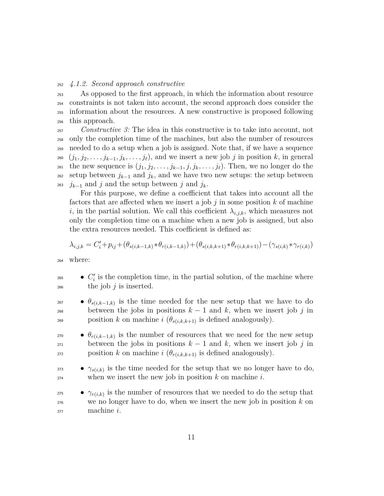#### <sup>252</sup> *4.1.2. Second approach constructive*

 As opposed to the first approach, in which the information about resource constraints is not taken into account, the second approach does consider the information about the resources. A new constructive is proposed following this approach.

<sup>257</sup> *Constructive 3:* The idea in this constructive is to take into account, not <sup>258</sup> only the completion time of the machines, but also the number of resources <sup>259</sup> needed to do a setup when a job is assigned. Note that, if we have a sequence 260  $(j_1, j_2, \ldots, j_{k-1}, j_k, \ldots, j_\ell)$ , and we insert a new job *j* in position *k*, in general 261 the new sequence is  $(j_1, j_2, \ldots, j_{k-1}, j, j_k, \ldots, j_\ell)$ . Then, we no longer do the  $\sum_{k=1}^{262}$  setup between  $j_{k-1}$  and  $j_k$ , and we have two new setups: the setup between <sup>263</sup> *j*<sub>*k*-1</sub> and *j* and the setup between *j* and *j*<sub>*k*</sub>.

For this purpose, we define a coefficient that takes into account all the factors that are affected when we insert a job *j* in some position *k* of machine *i*, in the partial solution. We call this coefficient  $\lambda_{i,j,k}$ , which measures not only the completion time on a machine when a new job is assigned, but also the extra resources needed. This coefficient is defined as:

$$
\lambda_{i,j,k} = C'_i + p_{ij} + (\theta_{s(i,k-1,k)} * \theta_{r(i,k-1,k)}) + (\theta_{s(i,k,k+1)} * \theta_{r(i,k,k+1)}) - (\gamma_{s(i,k)} * \gamma_{r(i,k)})
$$

<sup>264</sup> where:

- $\bullet$   $C_i'$  is the completion time, in the partial solution, of the machine where  $266$  the job  $j$  is inserted.
- $\theta_{s(i,k-1,k)}$  is the time needed for the new setup that we have to do between the jobs in positions  $k-1$  and  $k$ , when we insert job  $j$  in position *k* on machine *i*  $(\theta_{s(i,k,k+1)})$  is defined analogously).
- $\phi$  *e*  $\theta_{r(i,k-1,k)}$  is the number of resources that we need for the new setup  $271$  between the jobs in positions  $k-1$  and  $k$ , when we insert job  $j$  in position *k* on machine *i*  $(\theta_{r(i,k,k+1)})$  is defined analogously).
- $\gamma_{s(i,k)}$  is the time needed for the setup that we no longer have to do, <sup>274</sup> when we insert the new job in position *k* on machine *i*.
- $\gamma_{r(i,k)}$  is the number of resources that we needed to do the setup that <sup>276</sup> we no longer have to do, when we insert the new job in position *k* on <sup>277</sup> machine *i*.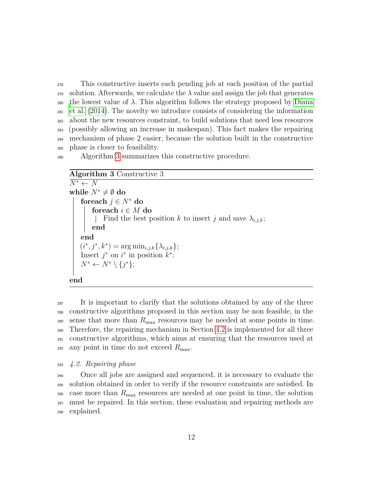This constructive inserts each pending job at each position of the partial solution. Afterwards, we calculate the  $\lambda$  value and assign the job that generates <sup>280</sup> [t](#page-32-4)he lowest value of  $\lambda$ . This algorithm follows the strategy proposed by [Diana](#page-32-4) [et al.](#page-32-4) [\(2014\)](#page-32-4). The novelty we introduce consists of considering the information about the new resources constraint, to build solutions that need less resources (possibly allowing an increase in makespan). This fact makes the repairing mechanism of phase 2 easier, because the solution built in the constructive phase is closer to feasibility.

<sup>286</sup> Algorithm [3](#page-12-0) summarizes this constructive procedure.

## <span id="page-12-0"></span>**Algorithm 3** Constructive 3

 $\overline{N^* \leftarrow N}$ **while**  $N^* \neq \emptyset$  **do foreach**  $j \in N^*$  **do foreach**  $i \in M$  **do** Find the best position *k* to insert *j* and save  $\lambda_{i,j,k}$ ; **end end**  $(i^*, j^*, k^*) = \arg \min_{i,j,k} {\lambda_{i,j,k}};$ Insert  $j^*$  on  $i^*$  in position  $k^*$ ; *N*<sup>∗</sup> ← *N*<sup>∗</sup>  $\setminus \{j^*\};$ **end**

 It is important to clarify that the solutions obtained by any of the three constructive algorithms proposed in this section may be non feasible, in the <sup>289</sup> sense that more than  $R_{\text{max}}$  resources may be needed at some points in time. Therefore, the repairing mechanism in Section [4.2](#page-12-1) is implemented for all three constructive algorithms, which aims at ensuring that the resources used at any point in time do not exceed *R*max.

#### <span id="page-12-1"></span><sup>293</sup> *4.2. Repairing phase*

 Once all jobs are assigned and sequenced, it is necessary to evaluate the solution obtained in order to verify if the resource constraints are satisfied. In case more than *R*max resources are needed at one point in time, the solution must be repaired. In this section, these evaluation and repairing methods are explained.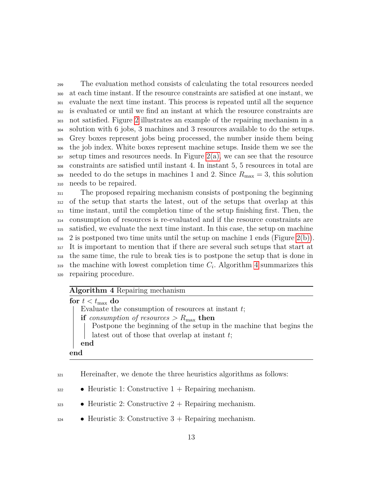The evaluation method consists of calculating the total resources needed at each time instant. If the resource constraints are satisfied at one instant, we evaluate the next time instant. This process is repeated until all the sequence is evaluated or until we find an instant at which the resource constraints are not satisfied. Figure [2](#page-14-1) illustrates an example of the repairing mechanism in a solution with 6 jobs, 3 machines and 3 resources available to do the setups. Grey boxes represent jobs being processed, the number inside them being the job index. White boxes represent machine setups. Inside them we see the setup times and resources needs. In Figure [2\(a\),](#page-14-2) we can see that the resource constraints are satisfied until instant 4. In instant 5, 5 resources in total are 309 needed to do the setups in machines 1 and 2. Since  $R_{\text{max}} = 3$ , this solution needs to be repaired.

<sup>311</sup> The proposed repairing mechanism consists of postponing the beginning of the setup that starts the latest, out of the setups that overlap at this time instant, until the completion time of the setup finishing first. Then, the consumption of resources is re-evaluated and if the resource constraints are satisfied, we evaluate the next time instant. In this case, the setup on machine  $316\quad 2$  is postponed two time units until the setup on machine 1 ends (Figure [2\(b\)\)](#page-14-3). It is important to mention that if there are several such setups that start at the same time, the rule to break ties is to postpone the setup that is done in the machine with lowest completion time  $C_i$ . Algorithm [4](#page-13-0) summarizes this repairing procedure.

## <span id="page-13-0"></span>**Algorithm 4** Repairing mechanism

| for $t < t_{\text{max}}$ do                                        |  |
|--------------------------------------------------------------------|--|
| Evaluate the consumption of resources at instant $t$ ;             |  |
| <b>if</b> consumption of resources $> R_{\text{max}}$ then         |  |
| Postpone the beginning of the setup in the machine that begins the |  |
| latest out of those that overlap at instant $t$ ;                  |  |
| end                                                                |  |
| end                                                                |  |

## <sup>321</sup> Hereinafter, we denote the three heuristics algorithms as follows:

- $\bullet$  Heuristic 1: Constructive  $1 + \text{Repairing mechanism.}$
- $\bullet$  Heuristic 2: Constructive 2 + Repairing mechanism.
- $\bullet$  Heuristic 3: Constructive 3 + Repairing mechanism.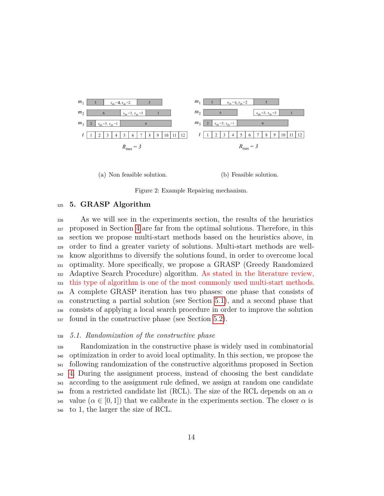<span id="page-14-2"></span>

(a) Non feasible solution. (b) Feasible solution.

<span id="page-14-3"></span><span id="page-14-1"></span>Figure 2: Example Repairing mechanism.

#### <span id="page-14-0"></span>**5. GRASP Algorithm**

 As we will see in the experiments section, the results of the heuristics proposed in Section [4](#page-8-0) are far from the optimal solutions. Therefore, in this section we propose multi-start methods based on the heuristics above, in order to find a greater variety of solutions. Multi-start methods are well- know algorithms to diversify the solutions found, in order to overcome local optimality. More specifically, we propose a GRASP (Greedy Randomized Adaptive Search Procedure) algorithm. As stated in the literature review, this type of algorithm is one of the most commonly used multi-start methods. A complete GRASP iteration has two phases: one phase that consists of constructing a partial solution (see Section [5.1\)](#page-14-4), and a second phase that consists of applying a local search procedure in order to improve the solution found in the constructive phase (see Section [5.2\)](#page-15-0).

#### <span id="page-14-4"></span>*5.1. Randomization of the constructive phase*

 Randomization in the constructive phase is widely used in combinatorial optimization in order to avoid local optimality. In this section, we propose the following randomization of the constructive algorithms proposed in Section [4.](#page-8-0) During the assignment process, instead of choosing the best candidate according to the assignment rule defined, we assign at random one candidate  $_{344}$  from a restricted candidate list (RCL). The size of the RCL depends on an  $\alpha$ 345 value  $(\alpha \in [0, 1])$  that we calibrate in the experiments section. The closer  $\alpha$  is to 1, the larger the size of RCL.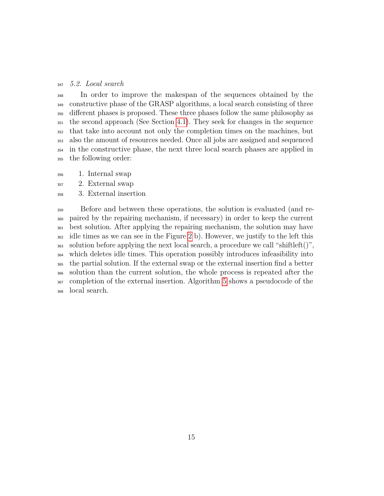### <span id="page-15-0"></span>*5.2. Local search*

 In order to improve the makespan of the sequences obtained by the constructive phase of the GRASP algorithms, a local search consisting of three different phases is proposed. These three phases follow the same philosophy as the second approach (See Section [4.1\)](#page-9-0). They seek for changes in the sequence that take into account not only the completion times on the machines, but also the amount of resources needed. Once all jobs are assigned and sequenced in the constructive phase, the next three local search phases are applied in the following order:

- 1. Internal swap
- 2. External swap
- 3. External insertion

 Before and between these operations, the solution is evaluated (and re- paired by the repairing mechanism, if necessary) in order to keep the current best solution. After applying the repairing mechanism, the solution may have idle times as we can see in the Figure [2](#page-14-1) b). However, we justify to the left this solution before applying the next local search, a procedure we call "shiftleft()", which deletes idle times. This operation possibly introduces infeasibility into the partial solution. If the external swap or the external insertion find a better solution than the current solution, the whole process is repeated after the completion of the external insertion. Algorithm [5](#page-16-0) shows a pseudocode of the local search.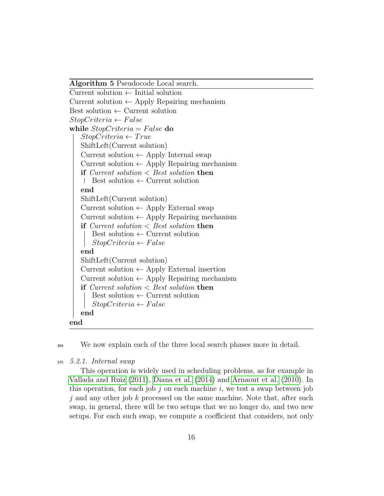<span id="page-16-0"></span>**Algorithm 5** Pseudocode Local search.

```
Current solution \leftarrow Initial solution
Current solution \leftarrow Apply Repairing mechanism
Best solution \leftarrow Current solution
StopCriteria \leftarrow Falsewhile StopCriteria = F alse do
   StopCriteria \leftarrow TrueShiftLeft(Current solution)
   Current solution ← Apply Internal swap
   Current solution \leftarrow Apply Repairing mechanism
   if Current solution < Best solution then
    \Box Best solution \leftarrow Current solution
   end
   ShiftLeft(Current solution)
   Current solution ← Apply External swap
   Current solution \leftarrow Apply Repairing mechanism
   if Current solution < Best solution then
       Best solution \leftarrow Current solution
       StopCriteria \leftarrow Falseend
   ShiftLeft(Current solution)
   Current solution ← Apply External insertion
   Current solution \leftarrow Apply Repairing mechanism
   if Current solution < Best solution then
       Best solution \leftarrow Current solution
       StopCriteria \leftarrow Falseend
end
```
<sup>369</sup> We now explain each of the three local search phases more in detail.

## <sup>370</sup> *5.2.1. Internal swap*

This operation is widely used in scheduling problems, as for example in [Vallada and Ruiz](#page-35-0) [\(2011\)](#page-35-0), [Diana et al.](#page-32-4) [\(2014\)](#page-32-4) and [Arnaout et al.](#page-32-2) [\(2010\)](#page-32-2). In this operation, for each job  $j$  on each machine  $i$ , we test a swap between job *j* and any other job *k* processed on the same machine. Note that, after such swap, in general, there will be two setups that we no longer do, and two new setups. For each such swap, we compute a coefficient that considers, not only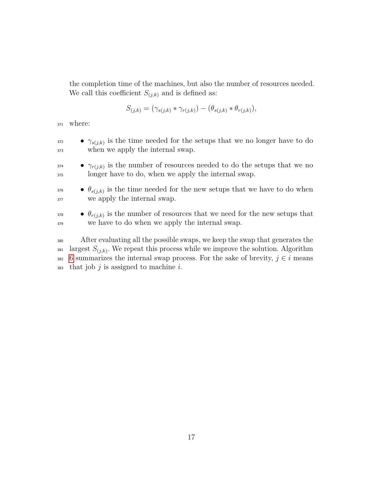the completion time of the machines, but also the number of resources needed. We call this coefficient  $S_{(j,k)}$  and is defined as:

$$
S_{(j,k)} = (\gamma_{s(j,k)} * \gamma_{r(j,k)}) - (\theta_{s(j,k)} * \theta_{r(j,k)}),
$$

<sup>371</sup> where:

| 372 | • $\gamma_{s(j,k)}$ is the time needed for the setups that we no longer have to do |
|-----|------------------------------------------------------------------------------------|
| 373 | when we apply the internal swap.                                                   |

- $\gamma_{r(j,k)}$  is the number of resources needed to do the setups that we no <sup>375</sup> longer have to do, when we apply the internal swap.
- $\theta_{s(j,k)}$  is the time needed for the new setups that we have to do when <sup>377</sup> we apply the internal swap.
- $\theta$ <sup>*r*</sup>(*j,k*) is the number of resources that we need for the new setups that <sup>379</sup> we have to do when we apply the internal swap.

 After evaluating all the possible swaps, we keep the swap that generates the  $\log_3 1$  largest  $S_{(j,k)}$ . We repeat this process while we improve the solution. Algorithm [6](#page-18-0) summarizes the internal swap process. For the sake of brevity,  $j \in i$  means that job *j* is assigned to machine *i*.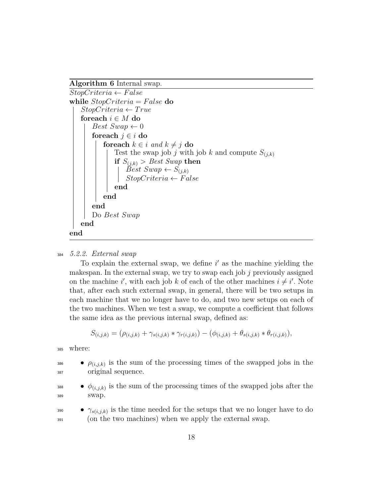<span id="page-18-0"></span>**Algorithm 6** Internal swap.

```
StopCriteria \leftarrow Falsewhile StopCriteria = F alse do
   StopCriteria \leftarrow Trueforeach i \in M do
        Best \, Swap \leftarrow 0foreach j \in i do
           foreach k \in i and k \neq j do
               Test the swap job j with job k and compute S_{(i,k)}if S_{(j,k)} > Best \; Swap \; thenBest Swap \leftarrow S_{(j,k)}StopCriteria ← F alse
               end
           end
        end
       Do Best Swap
   end
end
```
## <sup>384</sup> *5.2.2. External swap*

To explain the external swap, we define  $i'$  as the machine yielding the makespan. In the external swap, we try to swap each job *j* previously assigned on the machine *i*', with each job *k* of each of the other machines  $i \neq i'$ . Note that, after each such external swap, in general, there will be two setups in each machine that we no longer have to do, and two new setups on each of the two machines. When we test a swap, we compute a coefficient that follows the same idea as the previous internal swap, defined as:

$$
S_{(i,j,k)} = (\rho_{(i,j,k)} + \gamma_{s(i,j,k)} * \gamma_{r(i,j,k)}) - (\phi_{(i,j,k)} + \theta_{s(i,j,k)} * \theta_{r(i,j,k)}),
$$

<sup>385</sup> where:

- $\rho_{(i,j,k)}$  is the sum of the processing times of the swapped jobs in the <sup>387</sup> original sequence.
- $\phi_{(i,j,k)}$  is the sum of the processing times of the swapped jobs after the <sup>389</sup> swap.
- $\bullet \ \gamma_{s(i,j,k)}$  is the time needed for the setups that we no longer have to do <sup>391</sup> (on the two machines) when we apply the external swap.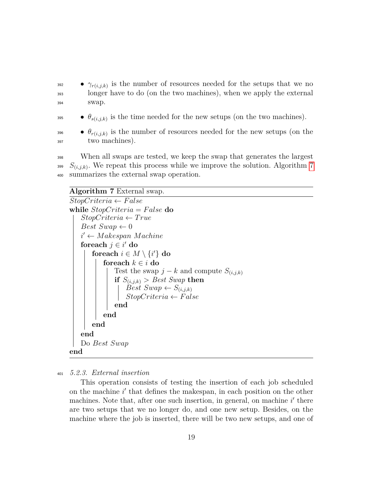- $\gamma_{r(i,j,k)}$  is the number of resources needed for the setups that we no <sup>393</sup> longer have to do (on the two machines), when we apply the external <sup>394</sup> swap.
- $\bullet$   $\theta_{s(i,j,k)}$  is the time needed for the new setups (on the two machines).
- $\theta$ <sup>*t*</sup>(*i,j,k*) is the number of resources needed for the new setups (on the <sup>397</sup> two machines).

<sup>398</sup> When all swaps are tested, we keep the swap that generates the largest  $S_{(i,j,k)}$ . We repeat this process while we improve the solution. Algorithm [7](#page-19-0) <sup>400</sup> summarizes the external swap operation.

# <span id="page-19-0"></span>**Algorithm 7** External swap.

```
StopCriteria \leftarrow Falsewhile StopCriteria = F alse do
    StopCriteria \leftarrow TrueBest \, Swap \leftarrow 0i' \leftarrow Makespan Machine\textbf{for each } j \in i' \textbf{ do}\textbf{for each } i \in M \setminus \{i'\} \textbf{ do}foreach k \in i do
                 Test the swap j - k and compute S_{(i,j,k)}if S_{(i,j,k)} > Best \; Swap \; thenBest Swap \leftarrow S_{(i,j,k)}StopCriteria ← F alse
                 end
             end
        end
    end
    Do Best Swap
end
```
<sup>401</sup> *5.2.3. External insertion*

This operation consists of testing the insertion of each job scheduled on the machine *i*' that defines the makespan, in each position on the other machines. Note that, after one such insertion, in general, on machine *i*' there are two setups that we no longer do, and one new setup. Besides, on the machine where the job is inserted, there will be two new setups, and one of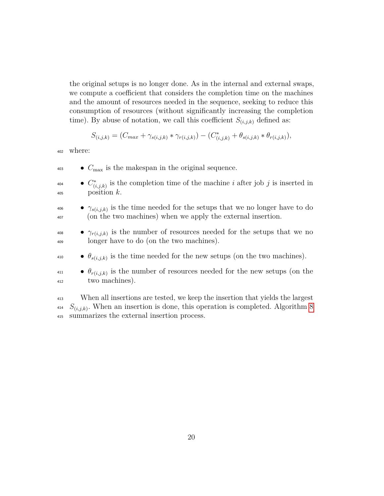the original setups is no longer done. As in the internal and external swaps, we compute a coefficient that considers the completion time on the machines and the amount of resources needed in the sequence, seeking to reduce this consumption of resources (without significantly increasing the completion time). By abuse of notation, we call this coefficient  $S_{(i,j,k)}$  defined as:

$$
S_{(i,j,k)} = (C_{max} + \gamma_{s(i,j,k)} * \gamma_{r(i,j,k)}) - (C^*_{(i,j,k)} + \theta_{s(i,j,k)} * \theta_{r(i,j,k)}),
$$

<sup>402</sup> where:

- $\bullet$   $C_{\text{max}}$  is the makespan in the original sequence.
- $C^*_{(i,j,k)}$  is the completion time of the machine *i* after job *j* is inserted in <sup>405</sup> position *k*.
- $\bullet \ \gamma_{s(i,j,k)}$  is the time needed for the setups that we no longer have to do <sup>407</sup> (on the two machines) when we apply the external insertion.
- $\gamma_{r(i,j,k)}$  is the number of resources needed for the setups that we no <sup>409</sup> longer have to do (on the two machines).
- $\theta_{s(i,j,k)}$  is the time needed for the new setups (on the two machines).
- $\theta_{r(i,j,k)}$  is the number of resources needed for the new setups (on the <sup>412</sup> two machines).

<sup>413</sup> When all insertions are tested, we keep the insertion that yields the largest  $S_{(i,j,k)}$ . When an insertion is done, this operation is completed. Algorithm [8](#page-21-1) <sup>415</sup> summarizes the external insertion process.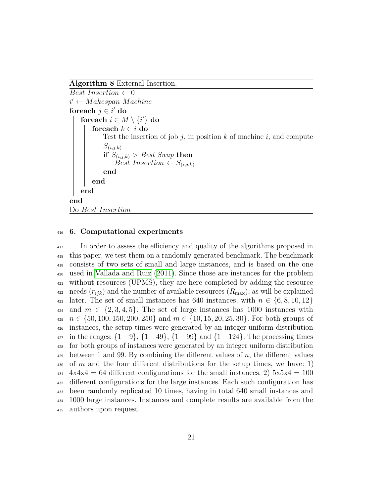<span id="page-21-1"></span>**Algorithm 8** External Insertion.

```
Best Insertion \leftarrow 0i' \leftarrow Makespan Machine\textbf{for each } j \in i' \textbf{ do}\textbf{for each } i \in M \setminus \{i'\} \textbf{ do}foreach k ∈ i do
              Test the insertion of job j, in position k of machine i, and compute
               S(i,j,k)
               \mathbf{if} \ S_{(i,j,k)} > Best \ Swap \ \mathbf{then}\hat{B}est Insertion \leftarrow S_{(i,j,k)}end
         end
    end
end
Do Best Insertion
```
### <span id="page-21-0"></span><sup>416</sup> **6. Computational experiments**

 In order to assess the efficiency and quality of the algorithms proposed in this paper, we test them on a randomly generated benchmark. The benchmark consists of two sets of small and large instances, and is based on the one used in [Vallada and Ruiz](#page-35-0) [\(2011\)](#page-35-0). Since those are instances for the problem without resources (UPMS), they are here completed by adding the resource  $\alpha_{22}$  needs  $(r_{ijk})$  and the number of available resources  $(R_{\text{max}})$ , as will be explained 423 later. The set of small instances has 640 instances, with  $n \in \{6, 8, 10, 12\}$  and  $m \in \{2, 3, 4, 5\}$ . The set of large instances has 1000 instances with *n* ∈ {50*,* 100*,* 150*,* 200*,* 250} and *m* ∈ {10*,* 15*,* 20*,* 25*,* 30}. For both groups of instances, the setup times were generated by an integer uniform distribution  $_{427}$  in the ranges:  $\{1-9\}$ ,  $\{1-49\}$ ,  $\{1-99\}$  and  $\{1-124\}$ . The processing times for both groups of instances were generated by an integer uniform distribution between 1 and 99. By combining the different values of *n*, the different values of *m* and the four different distributions for the setup times, we have: 1)  $431 \quad 4x4x4 = 64$  different configurations for the small instances. 2)  $5x5x4 = 100$  different configurations for the large instances. Each such configuration has been randomly replicated 10 times, having in total 640 small instances and 1000 large instances. Instances and complete results are available from the authors upon request.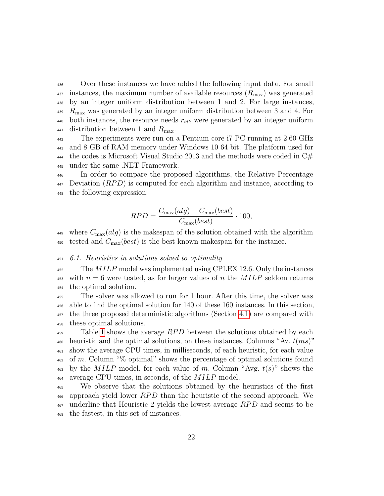Over these instances we have added the following input data. For small <sup>437</sup> instances, the maximum number of available resources  $(R_{\text{max}})$  was generated by an integer uniform distribution between 1 and 2. For large instances, *R*max was generated by an integer uniform distribution between 3 and 4. For both instances, the resource needs *rijk* were generated by an integer uniform distribution between 1 and *R*max.

<sup>442</sup> The experiments were run on a Pentium core i7 PC running at 2.60 GHz and 8 GB of RAM memory under Windows 10 64 bit. The platform used for <sup>444</sup> the codes is Microsoft Visual Studio 2013 and the methods were coded in  $C#$ under the same .NET Framework.

 In order to compare the proposed algorithms, the Relative Percentage Deviation (*RP D*) is computed for each algorithm and instance, according to the following expression:

$$
RPD = \frac{C_{\text{max}}(alg) - C_{\text{max}}(best)}{C_{\text{max}}(best)} \cdot 100,
$$

<sup>449</sup> where  $C_{\text{max}}(alg)$  is the makespan of the solution obtained with the algorithm tested and *C*max(*best*) is the best known makespan for the instance.

#### *6.1. Heuristics in solutions solved to optimality*

 The *MILP* model was implemented using CPLEX 12.6. Only the instances <sup>453</sup> with  $n = 6$  were tested, as for larger values of *n* the *MILP* seldom returns the optimal solution.

 The solver was allowed to run for 1 hour. After this time, the solver was able to find the optimal solution for 140 of these 160 instances. In this section, the three proposed deterministic algorithms (Section [4.1\)](#page-9-0) are compared with these optimal solutions.

<sup>459</sup> Table [1](#page-23-0) shows the average *RPD* between the solutions obtained by each <sub>460</sub> heuristic and the optimal solutions, on these instances. Columns "Av.  $t(ms)$ " show the average CPU times, in milliseconds, of each heuristic, for each value of *m*. Column "% optimal" shows the percentage of optimal solutions found by the *MILP* model, for each value of *m*. Column "Avg. *t*(*s*)" shows the average CPU times, in seconds, of the *MILP* model.

 We observe that the solutions obtained by the heuristics of the first approach yield lower *RP D* than the heuristic of the second approach. We underline that Heuristic 2 yields the lowest average *RP D* and seems to be the fastest, in this set of instances.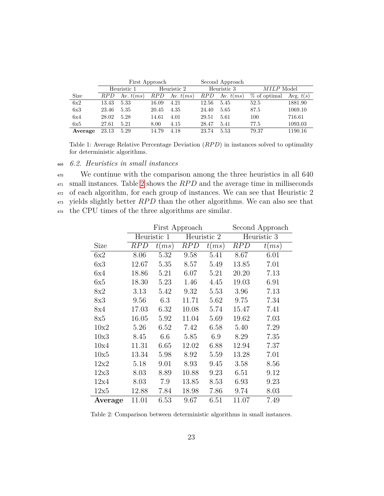|         |             |             | First Approach |             | Second Approach |             |                   |             |  |
|---------|-------------|-------------|----------------|-------------|-----------------|-------------|-------------------|-------------|--|
|         | Heuristic 1 |             | Heuristic 2    |             | Heuristic 3     |             | <i>MILP</i> Model |             |  |
| Size    | <i>RPD</i>  | Av. $t(ms)$ | <i>RPD</i>     | Av. $t(ms)$ | RPD             | Av. $t(ms)$ | % of optimal      | Avg. $t(s)$ |  |
| 6x2     | 13.43       | 5.33        | 16.09          | 4.21        | 12.56           | 5.45        | 52.5              | 1881.90     |  |
| 6x3     | 23.46       | 5.35        | 20.45          | 4.35        | 24.40           | 5.65        | 87.5              | 1069.10     |  |
| 6x4     | 28.02       | 5.28        | 14.61          | 4.01        | 29.51           | 5.61        | 100               | 716.61      |  |
| 6x5     | 27.61       | 5.21        | 8.00           | 4.15        | 28.47           | 5.41        | 77.5              | 1093.03     |  |
| Average | 23.13       | 5.29        | 14.79          | 4.18        | 23.74           | 5.53        | 79.37             | 1190.16     |  |

<span id="page-23-0"></span>Table 1: Average Relative Percentage Deviation (*RP D*) in instances solved to optimality for deterministic algorithms.

# <sup>469</sup> *6.2. Heuristics in small instances*

<sup>470</sup> We continue with the comparison among the three heuristics in all 640 <sup>471</sup> small instances. Table [2](#page-23-1) shows the *RP D* and the average time in milliseconds <sup>472</sup> of each algorithm, for each group of instances. We can see that Heuristic 2 473 yields slightly better *RPD* than the other algorithms. We can also see that <sup>474</sup> the CPU times of the three algorithms are similar.

|             |            | First Approach | Second Approach |             |             |       |  |
|-------------|------------|----------------|-----------------|-------------|-------------|-------|--|
|             |            | Heuristic 1    |                 | Heuristic 2 | Heuristic 3 |       |  |
| <b>Size</b> | <i>RPD</i> | t(ms)          | RPD             | t(ms)       | RPD         | t(ms) |  |
| 6x2         | 8.06       | 5.32           | 9.58            | 5.41        | 8.67        | 6.01  |  |
| 6x3         | 12.67      | 5.35           | 8.57            | 5.49        | 13.85       | 7.01  |  |
| 6x4         | 18.86      | 5.21           | 6.07            | 5.21        | 20.20       | 7.13  |  |
| 6x5         | 18.30      | 5.23           | 1.46            | 4.45        | 19.03       | 6.91  |  |
| 8x2         | 3.13       | 5.42           | 9.32            | 5.53        | 3.96        | 7.13  |  |
| 8x3         | 9.56       | 6.3            | 11.71           | 5.62        | 9.75        | 7.34  |  |
| 8x4         | 17.03      | 6.32           | 10.08           | 5.74        | 15.47       | 7.41  |  |
| 8x5         | 16.05      | 5.92           | 11.04           | 5.69        | 19.62       | 7.03  |  |
| 10x2        | 5.26       | 6.52           | 7.42            | 6.58        | 5.40        | 7.29  |  |
| 10x3        | 8.45       | 6.6            | 5.85            | 6.9         | 8.29        | 7.35  |  |
| 10x4        | 11.31      | 6.65           | 12.02           | 6.88        | 12.94       | 7.37  |  |
| 10x5        | 13.34      | 5.98           | 8.92            | 5.59        | 13.28       | 7.01  |  |
| 12x2        | 5.18       | 9.01           | 8.93            | 9.45        | 3.58        | 8.56  |  |
| 12x3        | 8.03       | 8.89           | 10.88           | 9.23        | 6.51        | 9.12  |  |
| 12x4        | 8.03       | 7.9            | 13.85           | 8.53        | 6.93        | 9.23  |  |
| 12x5        | 12.88      | 7.84           | 18.98           | 7.86        | 9.74        | 8.03  |  |
| Average     | 11.01      | 6.53           | 9.67            | 6.51        | 11.07       | 7.49  |  |

<span id="page-23-1"></span>Table 2: Comparison between deterministic algorithms in small instances.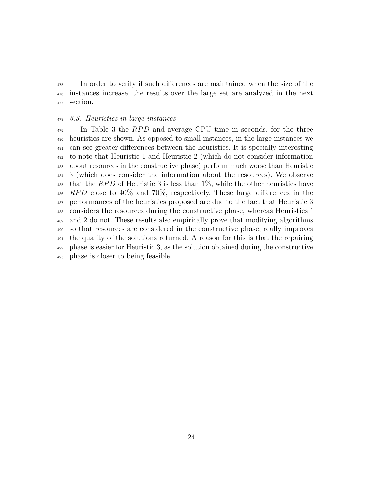In order to verify if such differences are maintained when the size of the instances increase, the results over the large set are analyzed in the next section.

## *6.3. Heuristics in large instances*

<sup>479</sup> In Table [3](#page-25-0) the *RPD* and average CPU time in seconds, for the three heuristics are shown. As opposed to small instances, in the large instances we can see greater differences between the heuristics. It is specially interesting to note that Heuristic 1 and Heuristic 2 (which do not consider information about resources in the constructive phase) perform much worse than Heuristic 3 (which does consider the information about the resources). We observe that the *RP D* of Heuristic 3 is less than 1%, while the other heuristics have *RP D* close to 40% and 70%, respectively. These large differences in the performances of the heuristics proposed are due to the fact that Heuristic 3 considers the resources during the constructive phase, whereas Heuristics 1 and 2 do not. These results also empirically prove that modifying algorithms so that resources are considered in the constructive phase, really improves the quality of the solutions returned. A reason for this is that the repairing phase is easier for Heuristic 3, as the solution obtained during the constructive phase is closer to being feasible.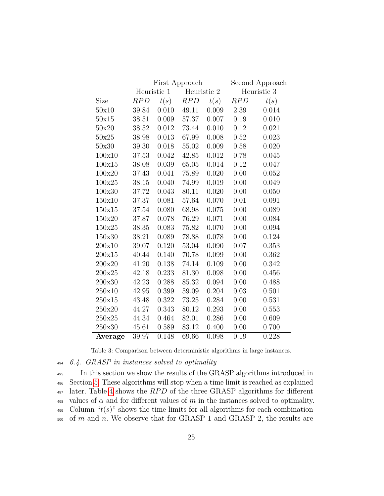|         |                  | First Approach    |                  | Second Approach   |                  |       |  |  |
|---------|------------------|-------------------|------------------|-------------------|------------------|-------|--|--|
|         | Heuristic 1      |                   |                  | Heuristic 2       | Heuristic 3      |       |  |  |
| Size    | $R\overline{PD}$ | $\overline{t(s)}$ | $\overline{RPD}$ | $\overline{t(s)}$ | $\overline{RPD}$ | t(s)  |  |  |
| 50x10   | 39.84            | 0.010             | 49.11            | 0.009             | 2.39             | 0.014 |  |  |
| 50x15   | 38.51            | 0.009             | 57.37            | 0.007             | 0.19             | 0.010 |  |  |
| 50x20   | 38.52            | 0.012             | 73.44            | 0.010             | 0.12             | 0.021 |  |  |
| 50x25   | 38.98            | 0.013             | 67.99            | 0.008             | 0.52             | 0.023 |  |  |
| 50x30   | 39.30            | 0.018             | 55.02            | 0.009             | 0.58             | 0.020 |  |  |
| 100x10  | 37.53            | 0.042             | 42.85            | 0.012             | 0.78             | 0.045 |  |  |
| 100x15  | 38.08            | 0.039             | 65.05            | 0.014             | 0.12             | 0.047 |  |  |
| 100x20  | 37.43            | 0.041             | 75.89            | 0.020             | 0.00             | 0.052 |  |  |
| 100x25  | $38.15\,$        | 0.040             | 74.99            | 0.019             | 0.00             | 0.049 |  |  |
| 100x30  | 37.72            | 0.043             | 80.11            | 0.020             | 0.00             | 0.050 |  |  |
| 150x10  | 37.37            | 0.081             | 57.64            | 0.070             | 0.01             | 0.091 |  |  |
| 150x15  | 37.54            | 0.080             | 68.98            | 0.075             | 0.00             | 0.089 |  |  |
| 150x20  | 37.87            | 0.078             | 76.29            | 0.071             | 0.00             | 0.084 |  |  |
| 150x25  | 38.35            | 0.083             | 75.82            | 0.070             | 0.00             | 0.094 |  |  |
| 150x30  | 38.21            | 0.089             | 78.88            | 0.078             | 0.00             | 0.124 |  |  |
| 200x10  | 39.07            | 0.120             | 53.04            | 0.090             | 0.07             | 0.353 |  |  |
| 200x15  | 40.44            | 0.140             | 70.78            | 0.099             | 0.00             | 0.362 |  |  |
| 200x20  | 41.20            | 0.138             | 74.14            | 0.109             | 0.00             | 0.342 |  |  |
| 200x25  | 42.18            | 0.233             | 81.30            | 0.098             | 0.00             | 0.456 |  |  |
| 200x30  | 42.23            | 0.288             | 85.32            | 0.094             | 0.00             | 0.488 |  |  |
| 250x10  | 42.95            | 0.399             | 59.09            | 0.204             | 0.03             | 0.501 |  |  |
| 250x15  | 43.48            | 0.322             | 73.25            | 0.284             | 0.00             | 0.531 |  |  |
| 250x20  | 44.27            | 0.343             | 80.12            | 0.293             | 0.00             | 0.553 |  |  |
| 250x25  | 44.34            | 0.464             | 82.01            | 0.286             | 0.00             | 0.609 |  |  |
| 250x30  | 45.61            | 0.589             | 83.12            | 0.400             | 0.00             | 0.700 |  |  |
| Average | 39.97            | 0.148             | 69.66            | 0.098             | 0.19             | 0.228 |  |  |

<span id="page-25-0"></span>Table 3: Comparison between deterministic algorithms in large instances.

# <sup>494</sup> *6.4. GRASP in instances solved to optimality*

 In this section we show the results of the GRASP algorithms introduced in Section [5.](#page-14-0) These algorithms will stop when a time limit is reached as explained later. Table [4](#page-26-0) shows the *RP D* of the three GRASP algorithms for different 498 values of  $\alpha$  and for different values of  $m$  in the instances solved to optimality. 499 Column " $t(s)$ " shows the time limits for all algorithms for each combination of *m* and *n*. We observe that for GRASP 1 and GRASP 2, the results are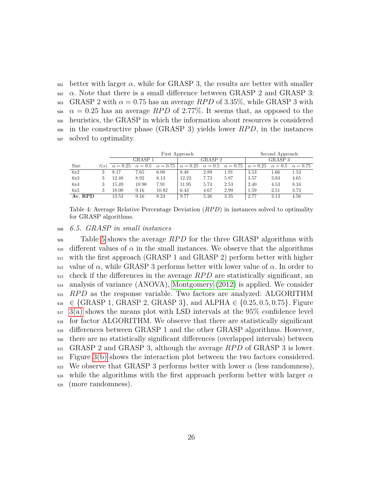$\frac{501}{201}$  better with larger  $\alpha$ , while for GRASP 3, the results are better with smaller  $\alpha$ . Note that there is a small difference between GRASP 2 and GRASP 3:  $503$  GRASP 2 with  $\alpha = 0.75$  has an average *RPD* of 3.35%, while GRASP 3 with  $\alpha = 0.25$  has an average *RPD* of 2.77%. It seems that, as opposed to the <sup>505</sup> heuristics, the GRASP in which the information about resources is considered <sup>506</sup> in the constructive phase (GRASP 3) yields lower *RP D*, in the instances <sup>507</sup> solved to optimality.

|         |      | First Approach  |                |                 |                 |                |                 |                    | Second Approach |                 |
|---------|------|-----------------|----------------|-----------------|-----------------|----------------|-----------------|--------------------|-----------------|-----------------|
|         |      | GRASP 1         |                |                 | GRASP 2         |                |                 | GRASP <sub>3</sub> |                 |                 |
| Size    | t(s) | $\alpha = 0.25$ | $\alpha = 0.5$ | $\alpha = 0.75$ | $\alpha = 0.25$ | $\alpha = 0.5$ | $\alpha = 0.75$ | $\alpha = 0.25$    | $\alpha = 0.5$  | $\alpha = 0.75$ |
| 6x2     |      | 8.17            | 7.65           | 6.08            | 8.48            | 2.89           | 1.91            | 3.53               | 1.66            | 1.53            |
| 6x3     | 3    | 12.48           | 8.92           | 8.13            | 12.23           | 7.73           | 5.97            | 3.57               | 3.83            | 4.65            |
| 6x4     | 3    | 15.49           | 10.90          | 7.91            | 11.95           | 5.74           | 2.53            | 2.40               | 4.53            | 8.34            |
| 6x5     | 3    | 18.00           | 9.16           | 10.82           | 6.43            | 4.67           | 2.99            | 1.59               | 2.51            | 3.73            |
| Av. RPD |      | 13.53           | 9.16           | 8.24            | 9.77            | 5.26           | 3.35            | 2.77               | 3.13            | 4.56            |

<span id="page-26-0"></span>Table 4: Average Relative Percentage Deviation (*RP D*) in instances solved to optimality for GRASP algorithms.

#### <sup>508</sup> *6.5. GRASP in small instances*

<sub>509</sub> Table [5](#page-27-0) shows the average *RPD* for the three GRASP algorithms with  $\frac{1}{510}$  different values of  $\alpha$  in the small instances. We observe that the algorithms with the first approach (GRASP 1 and GRASP 2) perform better with higher value of *α*, while GRASP 3 performs better with lower value of *α*. In order to check if the differences in the average *RP D* are statistically significant, an analysis of variance (ANOVA), [Montgomery](#page-34-10) [\(2012\)](#page-34-10) is applied. We consider *RP D* as the response variable. Two factors are analyzed: ALGORITHM  $\in$  {GRASP 1, GRASP 2, GRASP 3}, and ALPHA  $\in$  {0.25, 0.5, 0.75}. Figure  $_{517}$  [3\(a\)](#page-27-1) shows the means plot with LSD intervals at the 95% confidence level for factor ALGORITHM. We observe that there are statistically significant differences between GRASP 1 and the other GRASP algorithms. However, there are no statistically significant differences (overlapped intervals) between GRASP 2 and GRASP 3, although the average *RP D* of GRASP 3 is lower. Figure [3\(b\)](#page-27-2) shows the interaction plot between the two factors considered. 523 We observe that GRASP 3 performs better with lower  $\alpha$  (less randomness),  $_{524}$  while the algorithms with the first approach perform better with larger  $\alpha$ (more randomness).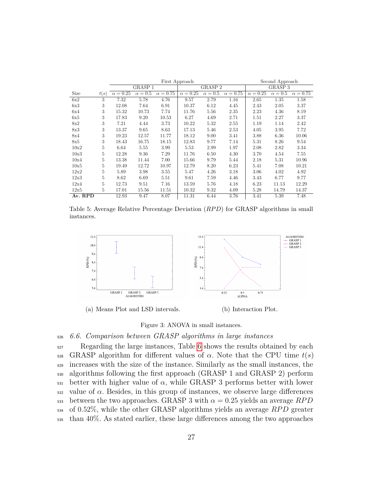|         |      | First Approach  |                    |                 |                 |                    |                 |                 | Second Approach |                 |  |
|---------|------|-----------------|--------------------|-----------------|-----------------|--------------------|-----------------|-----------------|-----------------|-----------------|--|
|         |      |                 | GRASP <sub>1</sub> |                 |                 | GRASP <sub>2</sub> |                 |                 | GRASP 3         |                 |  |
| Size    | t(s) | $\alpha = 0.25$ | $\alpha = 0.5$     | $\alpha = 0.75$ | $\alpha = 0.25$ | $\alpha = 0.5$     | $\alpha = 0.75$ | $\alpha = 0.25$ | $\alpha = 0.5$  | $\alpha = 0.75$ |  |
| 6x2     | 3    | 7.32            | 5.78               | 4.76            | 9.57            | 2.79               | 1.16            | 2.65            | 1.35            | 1.58            |  |
| 6x3     | 3    | 12.08           | 7.64               | 6.91            | 10.37           | 6.12               | 4.45            | 2.43            | $2.05\,$        | 3.37            |  |
| 6x4     | 3    | 15.32           | 10.73              | 7.74            | 11.76           | 5.56               | 2.35            | 2.23            | 4.36            | 8.19            |  |
| 6x5     | 3    | 17.83           | 9.20               | 10.53           | 6.27            | 4.69               | 2.71            | 1.51            | 2.27            | 3.37            |  |
| 8x2     | 3    | 7.21            | 4.44               | 3.73            | 10.22           | 5.32               | 2.55            | 1.19            | 1.14            | 2.42            |  |
| 8x3     | 3    | 13.37           | 9.65               | 8.63            | 17.13           | 5.46               | 2.53            | 4.05            | 3.95            | 7.72            |  |
| 8x4     | 3    | 19.23           | 12.57              | 11.77           | 18.12           | 9.00               | 3.41            | 3.88            | 6.36            | 10.06           |  |
| 8x5     | 3    | 18.43           | 16.75              | 18.15           | 12.83           | 9.77               | 7.14            | 5.31            | 8.26            | 9.54            |  |
| 10x2    | 5    | 6.64            | 5.55               | 3.99            | 5.53            | 2.99               | 1.97            | 2.08            | 2.82            | 3.34            |  |
| 10x3    | 5    | 12.28           | 9.36               | 7.29            | 11.76           | 6.50               | 4.30            | 3.70            | 4.54            | 7.55            |  |
| 10x4    | 5    | 13.38           | 11.44              | 7.00            | 15.66           | 9.79               | 5.44            | 2.18            | 5.31            | 10.96           |  |
| 10x5    | 5    | 19.49           | 12.72              | 10.97           | 12.79           | 8.20               | 6.23            | 5.41            | 7.08            | 10.21           |  |
| 12x2    | 5    | 5.89            | 3.98               | 3.55            | 5.47            | 4.26               | 3.18            | 3.06            | 4.02            | 4.92            |  |
| 12x3    | 5    | 8.62            | 6.69               | $5.51\,$        | 9.61            | 7.59               | 4.46            | 3.43            | 6.77            | 9.77            |  |
| 12x4    | 5    | 12.73           | 9.51               | 7.16            | 13.59           | 5.76               | 4.18            | 6.23            | 11.13           | 12.29           |  |
| 12x5    | 5    | 17.01           | 15.56              | 11.51           | 10.32           | 9.32               | 4.09            | 5.28            | 14.79           | 14.37           |  |
| Av. RPD |      | 12.93           | 9.47               | 8.07            | 11.31           | 6.44               | 3.76            | 3.41            | 5.39            | 7.48            |  |

<span id="page-27-0"></span>Table 5: Average Relative Percentage Deviation (*RP D*) for GRASP algorithms in small instances.

<span id="page-27-1"></span>

(a) Means Plot and LSD intervals. (b) Interaction Plot.

#### <span id="page-27-2"></span>Figure 3: ANOVA in small instances.

<sup>526</sup> *6.6. Comparison between GRASP algorithms in large instances*

 Regarding the large instances, Table [6](#page-28-0) shows the results obtained by each GRASP algorithm for different values of *α*. Note that the CPU time *t*(*s*) increases with the size of the instance. Similarly as the small instances, the algorithms following the first approach (GRASP 1 and GRASP 2) perform  $_{531}$  better with higher value of  $\alpha$ , while GRASP 3 performs better with lower value of  $\alpha$ . Besides, in this group of instances, we observe large differences 533 between the two approaches. GRASP 3 with  $\alpha = 0.25$  yields an average *RPD*  of 0.52%, while the other GRASP algorithms yields an average *RP D* greater than 40%. As stated earlier, these large differences among the two approaches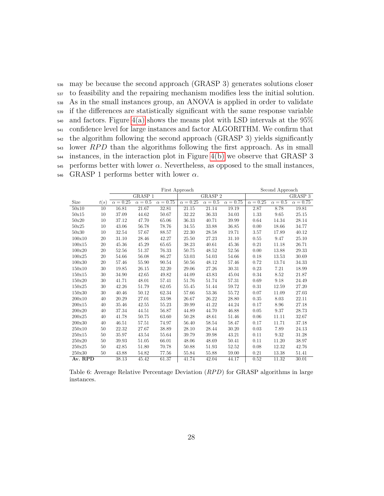may be because the second approach (GRASP 3) generates solutions closer to feasibility and the repairing mechanism modifies less the initial solution. As in the small instances group, an ANOVA is applied in order to validate <sub>539</sub> if the differences are statistically significant with the same response variable and factors. Figure [4\(a\)](#page-29-1) shows the means plot with LSD intervals at the 95% confidence level for large instances and factor ALGORITHM. We confirm that the algorithm following the second approach (GRASP 3) yields significantly lower *RP D* than the algorithms following the first approach. As in small instances, in the interaction plot in Figure [4\(b\)](#page-29-2) we observe that GRASP 3  $_{545}$  performs better with lower  $\alpha$ . Nevertheless, as opposed to the small instances, GRASP 1 performs better with lower *α*.

|         |      | $\quad$ First Approach |                    |                 |                            |                    |                 | Second Approach |                |                    |
|---------|------|------------------------|--------------------|-----------------|----------------------------|--------------------|-----------------|-----------------|----------------|--------------------|
|         |      |                        | GRASP <sub>1</sub> |                 |                            | GRASP <sub>2</sub> |                 |                 |                | GRASP <sub>3</sub> |
| Size    | t(s) | $\alpha = 0.25$        | $\alpha = 0.5$     | $\alpha = 0.75$ | $\alpha = 0.\overline{25}$ | $\alpha = 0.5$     | $\alpha = 0.75$ | $\alpha = 0.25$ | $\alpha = 0.5$ | $\alpha = 0.75$    |
| 50x10   | 10   | 16.81                  | 21.67              | 32.81           | 21.15                      | 21.14              | 19.19           | 2.87            | 8.78           | 19.81              |
| 50x15   | 10   | 37.09                  | 44.62              | 50.67           | 32.22                      | 36.33              | 34.03           | 1.33            | 9.65           | 25.15              |
| 50x20   | 10   | 37.12                  | 47.70              | 65.06           | 36.33                      | 40.71              | 39.99           | 0.64            | 14.34          | 28.14              |
| 50x25   | 10   | 43.06                  | 56.78              | 78.76           | 34.55                      | 33.88              | 36.85           | 0.00            | 18.66          | 34.77              |
| 50x30   | 10   | 32.54                  | 57.67              | 88.57           | 22.30                      | 28.58              | 19.71           | 3.57            | 17.89          | 40.12              |
| 100x10  | 20   | 31.10                  | 28.46              | 42.27           | 25.50                      | 27.23              | 31.10           | 0.55            | 9.47           | 25.10              |
| 100x15  | 20   | 45.36                  | 45.29              | 65.65           | 38.23                      | 40.61              | 45.36           | 0.21            | 11.18          | 26.71              |
| 100x20  | 20   | 52.56                  | 51.37              | 76.33           | 50.75                      | 48.52              | 52.56           | 0.00            | 13.88          | 29.33              |
| 100x25  | 20   | 54.66                  | 56.08              | 86.27           | 53.03                      | 54.03              | 54.66           | 0.18            | 13.53          | 30.69              |
| 100x30  | 20   | 57.46                  | 55.90              | 90.54           | 50.56                      | 48.12              | 57.46           | 0.72            | 13.74          | 34.33              |
| 150x10  | 30   | 19.85                  | 26.15              | 32.20           | 29.06                      | 27.26              | 30.31           | 0.23            | 7.21           | 18.99              |
| 150x15  | 30   | 34.90                  | 42.65              | 49.82           | 44.09                      | 43.83              | 45.04           | 0.34            | 8.52           | 21.87              |
| 150x20  | 30   | 41.71                  | 48.01              | 57.41           | 51.76                      | 51.74              | 57.31           | 0.69            | 9.18           | 24.49              |
| 150x25  | 30   | 42.26                  | 51.79              | 62.05           | 55.45                      | 51.44              | 59.72           | 0.31            | 12.59          | 27.20              |
| 150x30  | 30   | 40.46                  | 50.12              | 62.34           | 57.66                      | 53.36              | 55.72           | 0.07            | 11.09          | 27.03              |
| 200x10  | 40   | 20.29                  | 27.01              | 33.98           | 26.67                      | 26.22              | 28.80           | 0.35            | 8.03           | 22.11              |
| 200x15  | 40   | 35.46                  | 42.55              | 55.23           | 39.99                      | 41.22              | 44.24           | 0.17            | 8.96           | 27.18              |
| 200x20  | 40   | 37.34                  | 44.51              | 56.87           | 44.89                      | 44.70              | 46.88           | 0.05            | 9.37           | 28.73              |
| 200x25  | 40   | 41.78                  | 50.75              | 63.60           | 50.28                      | 48.61              | 51.46           | 0.06            | 11.11          | 32.67              |
| 200x30  | 40   | 46.51                  | 57.51              | 74.97           | 56.40                      | 58.54              | 58.47           | 0.17            | 11.71          | 37.18              |
| 250x10  | 50   | 22.32                  | 27.67              | 38.89           | 28.10                      | 28.44              | 30.20           | 0.03            | 7.89           | 24.13              |
| 250x15  | 50   | 35.97                  | 43.54              | 55.64           | 39.79                      | 39.98              | 43.21           | 0.11            | 9.32           | 31.28              |
| 250x20  | 50   | 39.93                  | 51.05              | 66.01           | 48.06                      | 48.69              | 50.41           | 0.11            | 11.20          | 38.97              |
| 250x25  | 50   | 42.85                  | 51.80              | 70.78           | 50.88                      | 51.93              | 52.52           | 0.08            | 12.32          | 42.76              |
| 250x30  | 50   | 43.88                  | 54.82              | 77.56           | 55.84                      | 55.88              | 59.00           | 0.21            | 13.38          | 51.41              |
| Av. RPD |      | 38.13                  | 45.42              | 61.37           | 41.74                      | 42.04              | 44.17           | 0.52            | 11.32          | 30.01              |

<span id="page-28-0"></span>Table 6: Average Relative Percentage Deviation (*RP D*) for GRASP algorithms in large instances.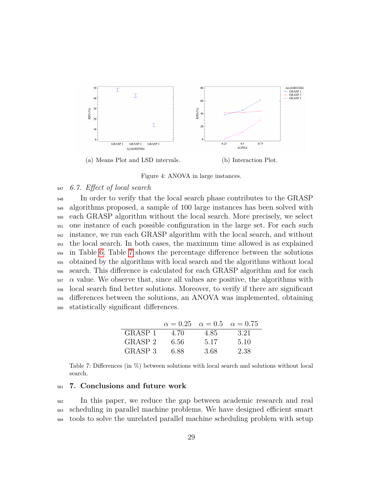<span id="page-29-1"></span>

<span id="page-29-2"></span>Figure 4: ANOVA in large instances.

#### *6.7. Effect of local search*

 In order to verify that the local search phase contributes to the GRASP algorithms proposed, a sample of 100 large instances has been solved with each GRASP algorithm without the local search. More precisely, we select one instance of each possible configuration in the large set. For each such instance, we run each GRASP algorithm with the local search, and without the local search. In both cases, the maximum time allowed is as explained in Table [6.](#page-28-0) Table [7](#page-29-3) shows the percentage difference between the solutions obtained by the algorithms with local search and the algorithms without local search. This difference is calculated for each GRASP algorithm and for each  $\alpha$  value. We observe that, since all values are positive, the algorithms with local search find better solutions. Moreover, to verify if there are significant differences between the solutions, an ANOVA was implemented, obtaining statistically significant differences.

|                    |      |      | $\alpha = 0.25 \quad \alpha = 0.5 \quad \alpha = 0.75$ |
|--------------------|------|------|--------------------------------------------------------|
| GRASP <sub>1</sub> | 4.70 | 4.85 | 3.21                                                   |
| GRASP 2            | 6.56 | 5.17 | 5.10                                                   |
| GRASP <sub>3</sub> | 6.88 | 3.68 | 2.38                                                   |

<span id="page-29-3"></span>Table 7: Differences (in %) between solutions with local search and solutions without local search.

# <span id="page-29-0"></span>**7. Conclusions and future work**

 In this paper, we reduce the gap between academic research and real scheduling in parallel machine problems. We have designed efficient smart tools to solve the unrelated parallel machine scheduling problem with setup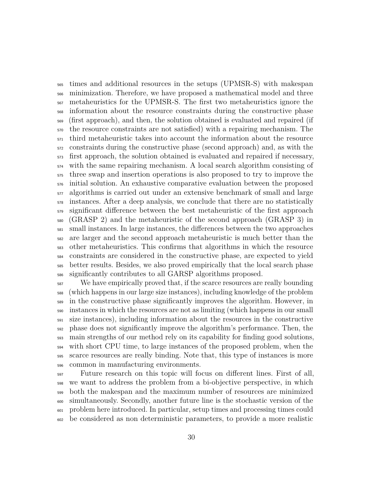times and additional resources in the setups (UPMSR-S) with makespan minimization. Therefore, we have proposed a mathematical model and three metaheuristics for the UPMSR-S. The first two metaheuristics ignore the information about the resource constraints during the constructive phase (first approach), and then, the solution obtained is evaluated and repaired (if the resource constraints are not satisfied) with a repairing mechanism. The third metaheuristic takes into account the information about the resource constraints during the constructive phase (second approach) and, as with the first approach, the solution obtained is evaluated and repaired if necessary, with the same repairing mechanism. A local search algorithm consisting of three swap and insertion operations is also proposed to try to improve the initial solution. An exhaustive comparative evaluation between the proposed algorithms is carried out under an extensive benchmark of small and large instances. After a deep analysis, we conclude that there are no statistically <sub>579</sub> significant difference between the best metaheuristic of the first approach (GRASP 2) and the metaheuristic of the second approach (GRASP 3) in small instances. In large instances, the differences between the two approaches are larger and the second approach metaheuristic is much better than the other metaheuristics. This confirms that algorithms in which the resource constraints are considered in the constructive phase, are expected to yield better results. Besides, we also proved empirically that the local search phase significantly contributes to all GARSP algorithms proposed.

 We have empirically proved that, if the scarce resources are really bounding (which happens in our large size instances), including knowledge of the problem in the constructive phase significantly improves the algorithm. However, in instances in which the resources are not as limiting (which happens in our small size instances), including information about the resources in the constructive phase does not significantly improve the algorithm's performance. Then, the main strengths of our method rely on its capability for finding good solutions, with short CPU time, to large instances of the proposed problem, when the scarce resources are really binding. Note that, this type of instances is more common in manufacturing environments.

 Future research on this topic will focus on different lines. First of all, we want to address the problem from a bi-objective perspective, in which both the makespan and the maximum number of resources are minimized simultaneously. Secondly, another future line is the stochastic version of the problem here introduced. In particular, setup times and processing times could be considered as non deterministic parameters, to provide a more realistic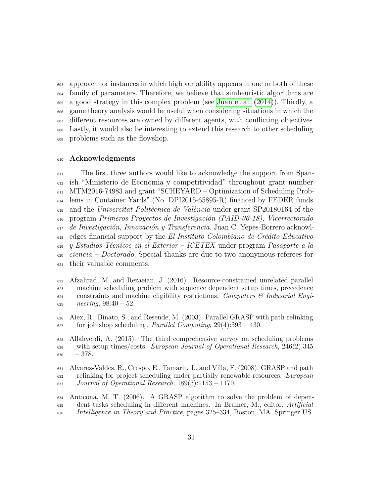approach for instances in which high variability appears in one or both of these family of parameters. Therefore, we believe that simheuristic algorithms are a good strategy in this complex problem (see [Juan et al.](#page-34-11) [\(2014\)](#page-34-11)). Thirdly, a game theory analysis would be useful when considering situations in which the different resources are owned by different agents, with conflicting objectives. Lastly, it would also be interesting to extend this research to other scheduling problems such as the flowshop.

## **Acknowledgments**

<sup>611</sup> The first three authors would like to acknowledge the support from Span- ish "Ministerio de Economia y competitividad" throughout grant number MTM2016-74983 and grant "SCHEYARD – Optimization of Scheduling Prob- lems in Container Yards" (No. DPI2015-65895-R) financed by FEDER funds and the *Universitat Politècnica de València* under grant SP20180164 of the program *Primeros Proyectos de Investigación (PAID-06-18), Vicerrectorado de Investigación, Innovación y Transferencia*. Juan C. Yepes-Borrero acknowl- edges financial support by the *El Instituto Colombiano de Crédito Educativo y Estudios Técnicos en el Exterior – ICETEX* under program *Pasaporte a la ciencia – Doctorado*. Special thanks are due to two anonymous referees for their valuable comments.

<span id="page-31-1"></span> Afzalirad, M. and Rezaeian, J. (2016). Resource-constrained unrelated parallel machine scheduling problem with sequence dependent setup times, precedence constraints and machine eligibility restrictions. *Computers & Industrial Engi-neering*,  $98:40 - 52$ .

<span id="page-31-2"></span> Aiex, R., Binato, S., and Resende, M. (2003). Parallel GRASP with path-relinking for job shop scheduling. *Parallel Computing*, 29(4):393 – 430.

<span id="page-31-0"></span> Allahverdi, A. (2015). The third comprehensive survey on scheduling problems with setup times/costs. *European Journal of Operational Research*, 246(2):345  $630 - 378.$ 

<span id="page-31-3"></span> Alvarez-Valdes, R., Crespo, E., Tamarit, J., and Villa, F. (2008). GRASP and path relinking for project scheduling under partially renewable resources. *European Journal of Operational Research*, 189(3):1153 – 1170.

<span id="page-31-4"></span> Anticona, M. T. (2006). A GRASP algorithm to solve the problem of depen- dent tasks scheduling in different machines. In Bramer, M., editor, *Artificial Intelligence in Theory and Practice*, pages 325–334, Boston, MA. Springer US.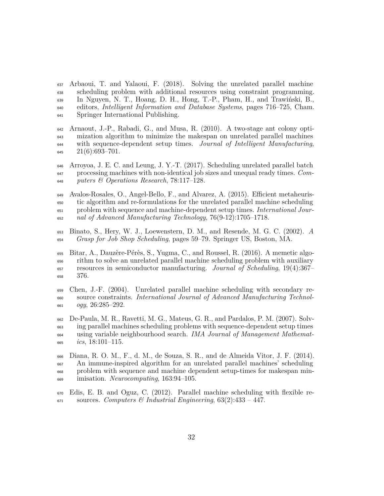<span id="page-32-8"></span> Arbaoui, T. and Yalaoui, F. (2018). Solving the unrelated parallel machine scheduling problem with additional resources using constraint programming. In Nguyen, N. T., Hoang, D. H., Hong, T.-P., Pham, H., and Trawiński, B., editors, *Intelligent Information and Database Systems*, pages 716–725, Cham. Springer International Publishing.

<span id="page-32-2"></span> Arnaout, J.-P., Rabadi, G., and Musa, R. (2010). A two-stage ant colony opti- mization algorithm to minimize the makespan on unrelated parallel machines with sequence-dependent setup times. *Journal of Intelligent Manufacturing*,  $645 \qquad 21(6):693-701.$ 

<span id="page-32-0"></span> Arroyoa, J. E. C. and Leung, J. Y.-T. (2017). Scheduling unrelated parallel batch processing machines with non-identical job sizes and unequal ready times. *Com-puters & Operations Research*, 78:117–128.

<span id="page-32-3"></span> Avalos-Rosales, O., Angel-Bello, F., and Alvarez, A. (2015). Efficient metaheuris- tic algorithm and re-formulations for the unrelated parallel machine scheduling problem with sequence and machine-dependent setup times. *International Jour-nal of Advanced Manufacturing Technology*, 76(9-12):1705–1718.

<span id="page-32-9"></span> Binato, S., Hery, W. J., Loewenstern, D. M., and Resende, M. G. C. (2002). *A Grasp for Job Shop Scheduling*, pages 59–79. Springer US, Boston, MA.

<span id="page-32-7"></span> Bitar, A., Dauzère-Pérès, S., Yugma, C., and Roussel, R. (2016). A memetic algo- rithm to solve an unrelated parallel machine scheduling problem with auxiliary resources in semiconductor manufacturing. *Journal of Scheduling*, 19(4):367– 376.

<span id="page-32-5"></span> Chen, J.-F. (2004). Unrelated parallel machine scheduling with secondary re- source constraints. *International Journal of Advanced Manufacturing Technol-ogy*, 26:285–292.

<span id="page-32-1"></span> De-Paula, M. R., Ravetti, M. G., Mateus, G. R., and Pardalos, P. M. (2007). Solv- ing parallel machines scheduling problems with sequence-dependent setup times using variable neighbourhood search. *IMA Journal of Management Mathemat-ics*, 18:101–115.

<span id="page-32-4"></span> Diana, R. O. M., F., d. M., de Souza, S. R., and de Almeida Vitor, J. F. (2014). An immune-inspired algorithm for an unrelated parallel machines' scheduling problem with sequence and machine dependent setup-times for makespan min-imisation. *Neurocomputing*, 163:94–105.

<span id="page-32-6"></span> Edis, E. B. and Oguz, C. (2012). Parallel machine scheduling with flexible re-sources. *Computers & Industrial Engineering*, 63(2):433 – 447.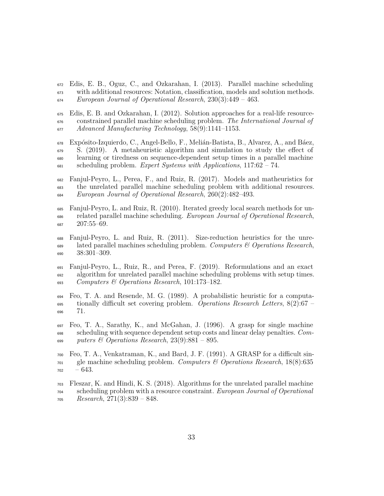<span id="page-33-5"></span> Edis, E. B., Oguz, C., and Ozkarahan, I. (2013). Parallel machine scheduling with additional resources: Notation, classification, models and solution methods. *European Journal of Operational Research*, 230(3):449 – 463.

<span id="page-33-4"></span> Edis, E. B. and Ozkarahan, I. (2012). Solution approaches for a real-life resource- constrained parallel machine scheduling problem. *The International Journal of Advanced Manufacturing Technology*, 58(9):1141–1153.

<span id="page-33-3"></span> Expósito-Izquierdo, C., Angel-Bello, F., Melián-Batista, B., Alvarez, A., and Báez, S. (2019). A metaheuristic algorithm and simulation to study the effect of learning or tiredness on sequence-dependent setup times in a parallel machine scheduling problem. *Expert Systems with Applications*, 117:62 – 74.

<span id="page-33-6"></span> Fanjul-Peyro, L., Perea, F., and Ruiz, R. (2017). Models and matheuristics for the unrelated parallel machine scheduling problem with additional resources. *European Journal of Operational Research*, 260(2):482–493.

<span id="page-33-0"></span> Fanjul-Peyro, L. and Ruiz, R. (2010). Iterated greedy local search methods for un- related parallel machine scheduling. *European Journal of Operational Research*, 207:55–69.

<span id="page-33-1"></span> Fanjul-Peyro, L. and Ruiz, R. (2011). Size-reduction heuristics for the unre- lated parallel machines scheduling problem. *Computers & Operations Research*, 38:301–309.

<span id="page-33-2"></span> Fanjul-Peyro, L., Ruiz, R., and Perea, F. (2019). Reformulations and an exact algorithm for unrelated parallel machine scheduling problems with setup times. *Computers & Operations Research*, 101:173–182.

<span id="page-33-8"></span> Feo, T. A. and Resende, M. G. (1989). A probabilistic heuristic for a computa- tionally difficult set covering problem. *Operations Research Letters*, 8(2):67 – 71.

<span id="page-33-10"></span> Feo, T. A., Sarathy, K., and McGahan, J. (1996). A grasp for single machine scheduling with sequence dependent setup costs and linear delay penalties. *Com-puters & Operations Research*, 23(9):881 – 895.

<span id="page-33-9"></span> Feo, T. A., Venkatraman, K., and Bard, J. F. (1991). A GRASP for a difficult sin- gle machine scheduling problem. *Computers & Operations Research*, 18(8):635  $702 - 643.$ 

<span id="page-33-7"></span> Fleszar, K. and Hindi, K. S. (2018). Algorithms for the unrelated parallel machine scheduling problem with a resource constraint. *European Journal of Operational Research*, 271(3):839 – 848.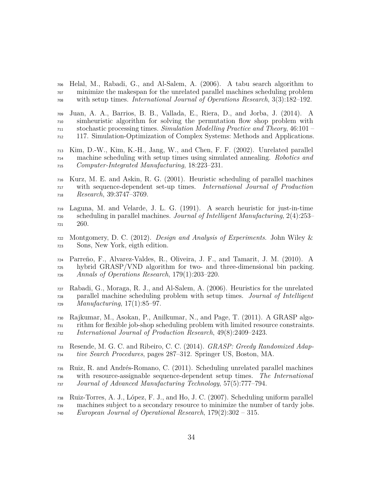<span id="page-34-3"></span> Helal, M., Rabadi, G., and Al-Salem, A. (2006). A tabu search algorithm to minimize the makespan for the unrelated parallel machines scheduling problem with setup times. *International Journal of Operations Research*, 3(3):182–192.

<span id="page-34-11"></span> Juan, A. A., Barrios, B. B., Vallada, E., Riera, D., and Jorba, J. (2014). A simheuristic algorithm for solving the permutation flow shop problem with stochastic processing times. *Simulation Modelling Practice and Theory*, 46:101 – 117. Simulation-Optimization of Complex Systems: Methods and Applications.

<span id="page-34-1"></span> Kim, D.-W., Kim, K.-H., Jang, W., and Chen, F. F. (2002). Unrelated parallel machine scheduling with setup times using simulated annealing. *Robotics and Computer-Integrated Manufacturing*, 18:223–231.

- <span id="page-34-0"></span> Kurz, M. E. and Askin, R. G. (2001). Heuristic scheduling of parallel machines with sequence-dependent set-up times. *International Journal of Production Research*, 39:3747–3769.
- <span id="page-34-8"></span> Laguna, M. and Velarde, J. L. G. (1991). A search heuristic for just-in-time scheduling in parallel machines. *Journal of Intelligent Manufacturing*, 2(4):253– 260.
- <span id="page-34-10"></span> Montgomery, D. C. (2012). *Design and Analysis of Experiments*. John Wiley & Sons, New York, eigth edition.
- <span id="page-34-9"></span> Parreño, F., Alvarez-Valdes, R., Oliveira, J. F., and Tamarit, J. M. (2010). A hybrid GRASP/VND algorithm for two- and three-dimensional bin packing. *Annals of Operations Research*, 179(1):203–220.
- <span id="page-34-2"></span> Rabadi, G., Moraga, R. J., and Al-Salem, A. (2006). Heuristics for the unrelated parallel machine scheduling problem with setup times. *Journal of Intelligent Manufacturing*, 17(1):85–97.
- <span id="page-34-7"></span> Rajkumar, M., Asokan, P., Anilkumar, N., and Page, T. (2011). A GRASP algo- rithm for flexible job-shop scheduling problem with limited resource constraints. *International Journal of Production Research*, 49(8):2409–2423.
- <span id="page-34-6"></span> Resende, M. G. C. and Ribeiro, C. C. (2014). *GRASP: Greedy Randomized Adap-tive Search Procedures*, pages 287–312. Springer US, Boston, MA.
- <span id="page-34-5"></span> Ruiz, R. and Andrés-Romano, C. (2011). Scheduling unrelated parallel machines with resource-assignable sequence-dependent setup times. *The International Journal of Advanced Manufacturing Technology*, 57(5):777–794.
- <span id="page-34-4"></span> Ruiz-Torres, A. J., López, F. J., and Ho, J. C. (2007). Scheduling uniform parallel machines subject to a secondary resource to minimize the number of tardy jobs. *European Journal of Operational Research*, 179(2):302 – 315.